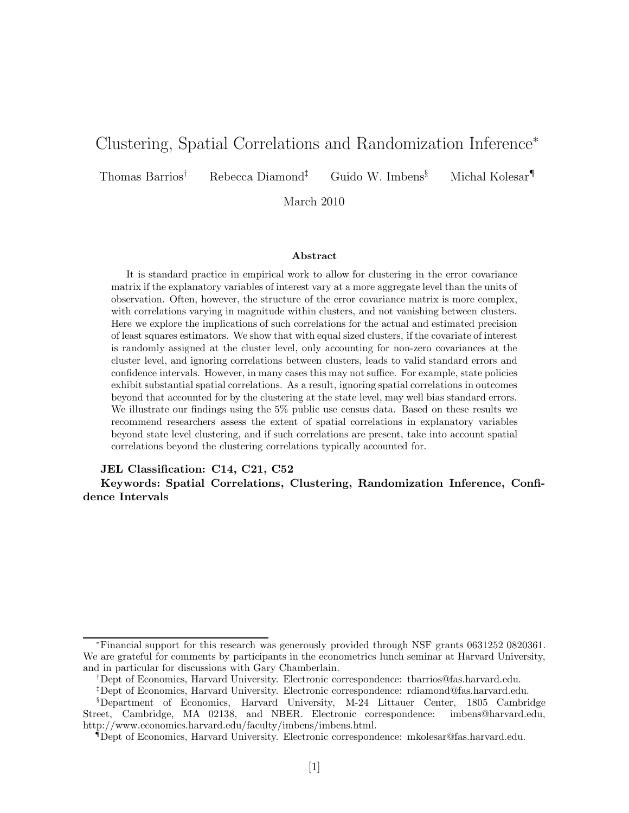# Clustering, Spatial Correlations and Randomization Inference<sup>∗</sup>

Thomas Barrios† Rebecca Diamond‡ Guido W. Imbens§ Michal Kolesar¶

March 2010

#### Abstract

It is standard practice in empirical work to allow for clustering in the error covariance matrix if the explanatory variables of interest vary at a more aggregate level than the units of observation. Often, however, the structure of the error covariance matrix is more complex, with correlations varying in magnitude within clusters, and not vanishing between clusters. Here we explore the implications of such correlations for the actual and estimated precision of least squares estimators. We show that with equal sized clusters, if the covariate of interest is randomly assigned at the cluster level, only accounting for non-zero covariances at the cluster level, and ignoring correlations between clusters, leads to valid standard errors and confidence intervals. However, in many cases this may not suffice. For example, state policies exhibit substantial spatial correlations. As a result, ignoring spatial correlations in outcomes beyond that accounted for by the clustering at the state level, may well bias standard errors. We illustrate our findings using the 5% public use census data. Based on these results we recommend researchers assess the extent of spatial correlations in explanatory variables beyond state level clustering, and if such correlations are present, take into account spatial correlations beyond the clustering correlations typically accounted for.

#### JEL Classification: C14, C21, C52

Keywords: Spatial Correlations, Clustering, Randomization Inference, Confidence Intervals

<sup>∗</sup>Financial support for this research was generously provided through NSF grants 0631252 0820361. We are grateful for comments by participants in the econometrics lunch seminar at Harvard University, and in particular for discussions with Gary Chamberlain.

<sup>†</sup>Dept of Economics, Harvard University. Electronic correspondence: tbarrios@fas.harvard.edu.

<sup>‡</sup>Dept of Economics, Harvard University. Electronic correspondence: rdiamond@fas.harvard.edu.

<sup>§</sup>Department of Economics, Harvard University, M-24 Littauer Center, 1805 Cambridge Street, Cambridge, MA 02138, and NBER. Electronic correspondence: imbens@harvard.edu, http://www.economics.harvard.edu/faculty/imbens/imbens.html.

<sup>¶</sup>Dept of Economics, Harvard University. Electronic correspondence: mkolesar@fas.harvard.edu.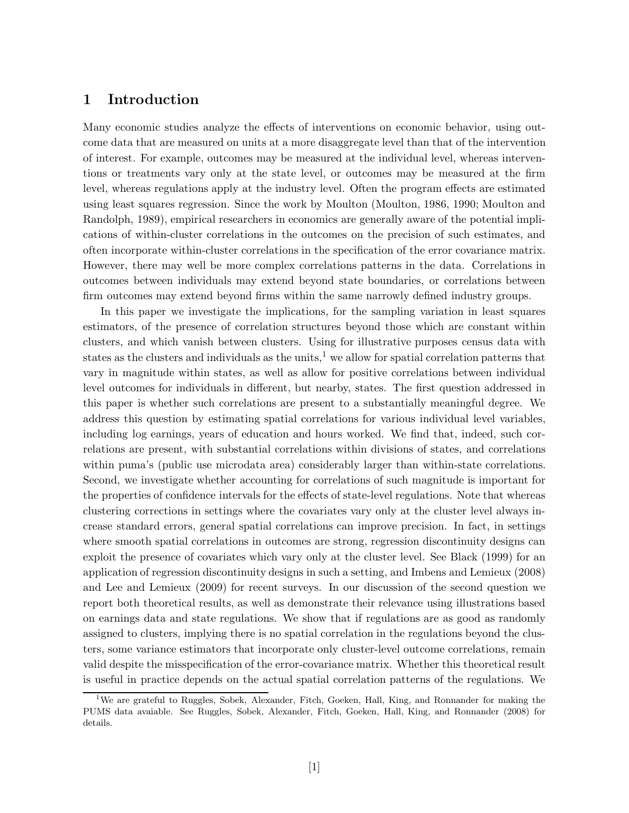## 1 Introduction

Many economic studies analyze the effects of interventions on economic behavior, using outcome data that are measured on units at a more disaggregate level than that of the intervention of interest. For example, outcomes may be measured at the individual level, whereas interventions or treatments vary only at the state level, or outcomes may be measured at the firm level, whereas regulations apply at the industry level. Often the program effects are estimated using least squares regression. Since the work by Moulton (Moulton, 1986, 1990; Moulton and Randolph, 1989), empirical researchers in economics are generally aware of the potential implications of within-cluster correlations in the outcomes on the precision of such estimates, and often incorporate within-cluster correlations in the specification of the error covariance matrix. However, there may well be more complex correlations patterns in the data. Correlations in outcomes between individuals may extend beyond state boundaries, or correlations between firm outcomes may extend beyond firms within the same narrowly defined industry groups.

In this paper we investigate the implications, for the sampling variation in least squares estimators, of the presence of correlation structures beyond those which are constant within clusters, and which vanish between clusters. Using for illustrative purposes census data with states as the clusters and individuals as the units,<sup>1</sup> we allow for spatial correlation patterns that vary in magnitude within states, as well as allow for positive correlations between individual level outcomes for individuals in different, but nearby, states. The first question addressed in this paper is whether such correlations are present to a substantially meaningful degree. We address this question by estimating spatial correlations for various individual level variables, including log earnings, years of education and hours worked. We find that, indeed, such correlations are present, with substantial correlations within divisions of states, and correlations within puma's (public use microdata area) considerably larger than within-state correlations. Second, we investigate whether accounting for correlations of such magnitude is important for the properties of confidence intervals for the effects of state-level regulations. Note that whereas clustering corrections in settings where the covariates vary only at the cluster level always increase standard errors, general spatial correlations can improve precision. In fact, in settings where smooth spatial correlations in outcomes are strong, regression discontinuity designs can exploit the presence of covariates which vary only at the cluster level. See Black (1999) for an application of regression discontinuity designs in such a setting, and Imbens and Lemieux (2008) and Lee and Lemieux (2009) for recent surveys. In our discussion of the second question we report both theoretical results, as well as demonstrate their relevance using illustrations based on earnings data and state regulations. We show that if regulations are as good as randomly assigned to clusters, implying there is no spatial correlation in the regulations beyond the clusters, some variance estimators that incorporate only cluster-level outcome correlations, remain valid despite the misspecification of the error-covariance matrix. Whether this theoretical result is useful in practice depends on the actual spatial correlation patterns of the regulations. We

<sup>&</sup>lt;sup>1</sup>We are grateful to Ruggles, Sobek, Alexander, Fitch, Goeken, Hall, King, and Ronnander for making the PUMS data avaiable. See Ruggles, Sobek, Alexander, Fitch, Goeken, Hall, King, and Ronnander (2008) for details.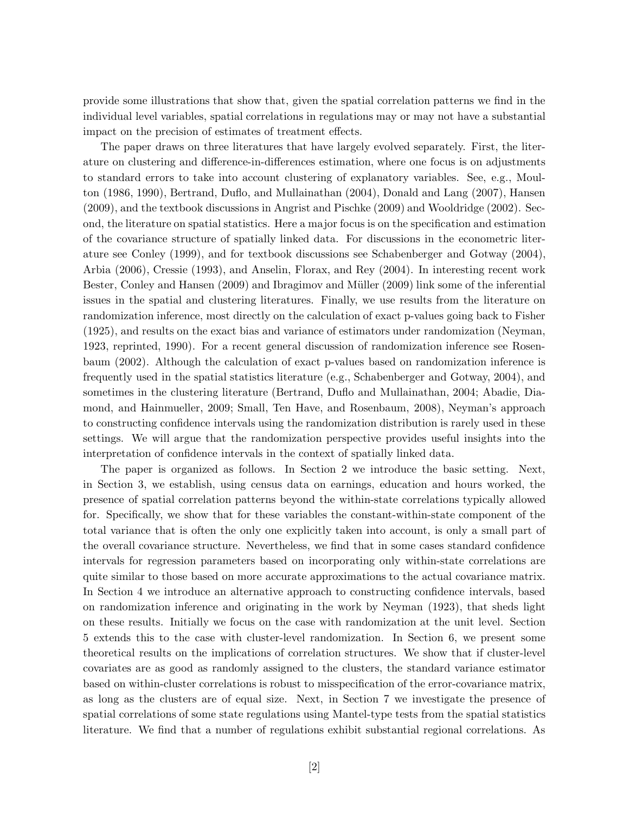provide some illustrations that show that, given the spatial correlation patterns we find in the individual level variables, spatial correlations in regulations may or may not have a substantial impact on the precision of estimates of treatment effects.

The paper draws on three literatures that have largely evolved separately. First, the literature on clustering and difference-in-differences estimation, where one focus is on adjustments to standard errors to take into account clustering of explanatory variables. See, e.g., Moulton (1986, 1990), Bertrand, Duflo, and Mullainathan (2004), Donald and Lang (2007), Hansen (2009), and the textbook discussions in Angrist and Pischke (2009) and Wooldridge (2002). Second, the literature on spatial statistics. Here a major focus is on the specification and estimation of the covariance structure of spatially linked data. For discussions in the econometric literature see Conley (1999), and for textbook discussions see Schabenberger and Gotway (2004), Arbia (2006), Cressie (1993), and Anselin, Florax, and Rey (2004). In interesting recent work Bester, Conley and Hansen (2009) and Ibragimov and Müller (2009) link some of the inferential issues in the spatial and clustering literatures. Finally, we use results from the literature on randomization inference, most directly on the calculation of exact p-values going back to Fisher (1925), and results on the exact bias and variance of estimators under randomization (Neyman, 1923, reprinted, 1990). For a recent general discussion of randomization inference see Rosenbaum (2002). Although the calculation of exact p-values based on randomization inference is frequently used in the spatial statistics literature (e.g., Schabenberger and Gotway, 2004), and sometimes in the clustering literature (Bertrand, Duflo and Mullainathan, 2004; Abadie, Diamond, and Hainmueller, 2009; Small, Ten Have, and Rosenbaum, 2008), Neyman's approach to constructing confidence intervals using the randomization distribution is rarely used in these settings. We will argue that the randomization perspective provides useful insights into the interpretation of confidence intervals in the context of spatially linked data.

The paper is organized as follows. In Section 2 we introduce the basic setting. Next, in Section 3, we establish, using census data on earnings, education and hours worked, the presence of spatial correlation patterns beyond the within-state correlations typically allowed for. Specifically, we show that for these variables the constant-within-state component of the total variance that is often the only one explicitly taken into account, is only a small part of the overall covariance structure. Nevertheless, we find that in some cases standard confidence intervals for regression parameters based on incorporating only within-state correlations are quite similar to those based on more accurate approximations to the actual covariance matrix. In Section 4 we introduce an alternative approach to constructing confidence intervals, based on randomization inference and originating in the work by Neyman (1923), that sheds light on these results. Initially we focus on the case with randomization at the unit level. Section 5 extends this to the case with cluster-level randomization. In Section 6, we present some theoretical results on the implications of correlation structures. We show that if cluster-level covariates are as good as randomly assigned to the clusters, the standard variance estimator based on within-cluster correlations is robust to misspecification of the error-covariance matrix, as long as the clusters are of equal size. Next, in Section 7 we investigate the presence of spatial correlations of some state regulations using Mantel-type tests from the spatial statistics literature. We find that a number of regulations exhibit substantial regional correlations. As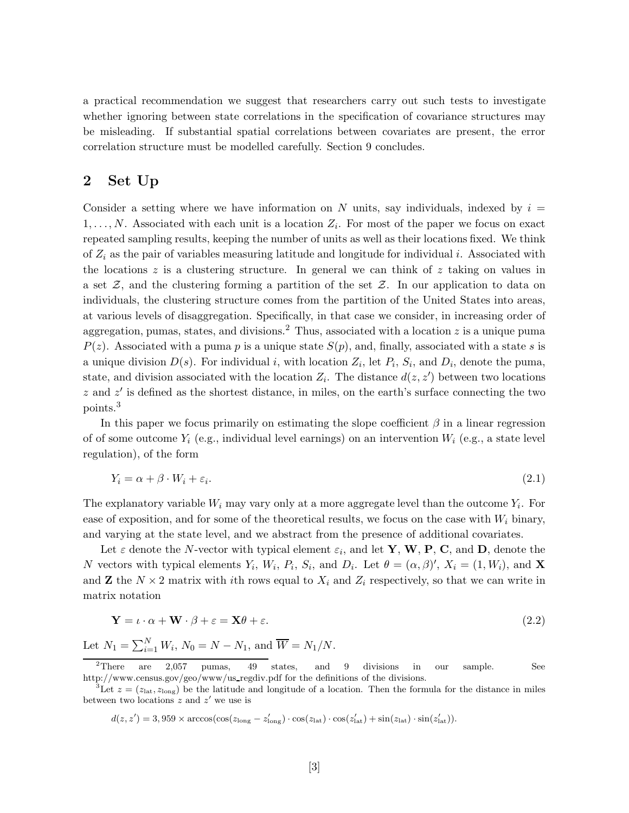a practical recommendation we suggest that researchers carry out such tests to investigate whether ignoring between state correlations in the specification of covariance structures may be misleading. If substantial spatial correlations between covariates are present, the error correlation structure must be modelled carefully. Section 9 concludes.

### 2 Set Up

Consider a setting where we have information on N units, say individuals, indexed by  $i =$  $1, \ldots, N$ . Associated with each unit is a location  $Z_i$ . For most of the paper we focus on exact repeated sampling results, keeping the number of units as well as their locations fixed. We think of  $Z_i$  as the pair of variables measuring latitude and longitude for individual i. Associated with the locations  $z$  is a clustering structure. In general we can think of  $z$  taking on values in a set  $\mathcal{Z}$ , and the clustering forming a partition of the set  $\mathcal{Z}$ . In our application to data on individuals, the clustering structure comes from the partition of the United States into areas, at various levels of disaggregation. Specifically, in that case we consider, in increasing order of aggregation, pumas, states, and divisions.<sup>2</sup> Thus, associated with a location  $z$  is a unique puma  $P(z)$ . Associated with a puma p is a unique state  $S(p)$ , and, finally, associated with a state s is a unique division  $D(s)$ . For individual i, with location  $Z_i$ , let  $P_i$ ,  $S_i$ , and  $D_i$ , denote the puma, state, and division associated with the location  $Z_i$ . The distance  $d(z, z')$  between two locations  $z$  and  $z'$  is defined as the shortest distance, in miles, on the earth's surface connecting the two points.<sup>3</sup>

In this paper we focus primarily on estimating the slope coefficient  $\beta$  in a linear regression of of some outcome  $Y_i$  (e.g., individual level earnings) on an intervention  $W_i$  (e.g., a state level regulation), of the form

$$
Y_i = \alpha + \beta \cdot W_i + \varepsilon_i. \tag{2.1}
$$

The explanatory variable  $W_i$  may vary only at a more aggregate level than the outcome  $Y_i$ . For ease of exposition, and for some of the theoretical results, we focus on the case with  $W_i$  binary, and varying at the state level, and we abstract from the presence of additional covariates.

Let  $\varepsilon$  denote the N-vector with typical element  $\varepsilon_i$ , and let **Y**, **W**, **P**, **C**, and **D**, denote the N vectors with typical elements  $Y_i$ ,  $W_i$ ,  $P_i$ ,  $S_i$ , and  $D_i$ . Let  $\theta = (\alpha, \beta)'$ ,  $X_i = (1, W_i)$ , and **X** and **Z** the  $N \times 2$  matrix with ith rows equal to  $X_i$  and  $Z_i$  respectively, so that we can write in matrix notation

$$
\mathbf{Y} = \iota \cdot \alpha + \mathbf{W} \cdot \beta + \varepsilon = \mathbf{X}\theta + \varepsilon. \tag{2.2}
$$

Let  $N_1 = \sum_{i=1}^{N} W_i$ ,  $N_0 = N - N_1$ , and  $\overline{W} = N_1/N$ .

$$
d(z,z') = 3,959 \times \arccos(\cos(z_{\text{long}} - z'_{\text{long}}) \cdot \cos(z_{\text{lat}}) \cdot \cos(z'_{\text{lat}}) + \sin(z_{\text{lat}}) \cdot \sin(z'_{\text{lat}})).
$$

 $2$ There are 2,057 pumas, 49 states, and 9 divisions in our sample. See http://www.census.gov/geo/www/us\_regdiv.pdf for the definitions of the divisions.

<sup>&</sup>lt;sup>3</sup>Let  $z = (z_{\text{lat}}, z_{\text{long}})$  be the latitude and longitude of a location. Then the formula for the distance in miles between two locations  $z$  and  $z'$  we use is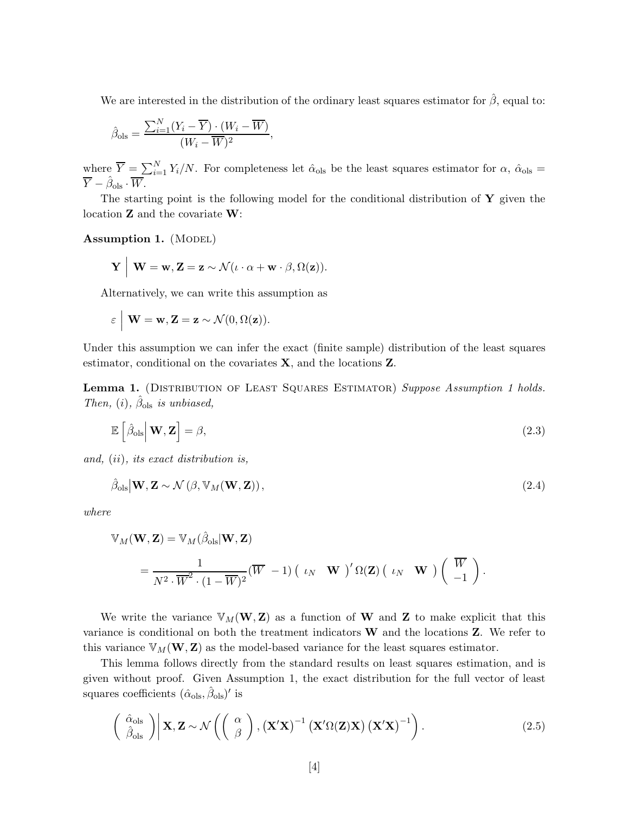We are interested in the distribution of the ordinary least squares estimator for  $\hat{\beta}$ , equal to:

$$
\hat{\beta}_{\text{ols}} = \frac{\sum_{i=1}^{N} (Y_i - \overline{Y}) \cdot (W_i - \overline{W})}{(W_i - \overline{W})^2},
$$

where  $\overline{Y} = \sum_{i=1}^{N} Y_i/N$ . For completeness let  $\hat{\alpha}_{ols}$  be the least squares estimator for  $\alpha$ ,  $\hat{\alpha}_{ols}$  =  $\overline{Y} - \hat{\beta}_{\text{ols}} \cdot \overline{W}.$ 

The starting point is the following model for the conditional distribution of  $\bf{Y}$  given the location Z and the covariate W:

Assumption 1. (MODEL)

$$
\mathbf{Y} \mid \mathbf{W} = \mathbf{w}, \mathbf{Z} = \mathbf{z} \sim \mathcal{N}(\iota \cdot \alpha + \mathbf{w} \cdot \beta, \Omega(\mathbf{z})).
$$

Alternatively, we can write this assumption as

$$
\varepsilon \mid \mathbf{W} = \mathbf{w}, \mathbf{Z} = \mathbf{z} \sim \mathcal{N}(0, \Omega(\mathbf{z})).
$$

Under this assumption we can infer the exact (finite sample) distribution of the least squares estimator, conditional on the covariates X, and the locations Z.

Lemma 1. (DISTRIBUTION OF LEAST SQUARES ESTIMATOR) Suppose Assumption 1 holds. Then, (i),  $\hat{\beta}_{ols}$  is unbiased,

$$
\mathbb{E}\left[\hat{\beta}_{\text{ols}}\big|\mathbf{W},\mathbf{Z}\right] = \beta,\tag{2.3}
$$

and, (ii), its exact distribution is,

$$
\hat{\beta}_{\text{ols}}|\mathbf{W}, \mathbf{Z} \sim \mathcal{N}\left(\beta, \mathbb{V}_M(\mathbf{W}, \mathbf{Z})\right),\tag{2.4}
$$

where

$$
\mathbb{V}_M(\mathbf{W}, \mathbf{Z}) = \mathbb{V}_M(\hat{\beta}_{\text{ols}} | \mathbf{W}, \mathbf{Z})
$$
  
= 
$$
\frac{1}{N^2 \cdot \overline{W}^2 \cdot (1 - \overline{W})^2} (\overline{W} - 1) ( \iota_N \mathbf{W})' \Omega(\mathbf{Z}) ( \iota_N \mathbf{W}) (\overline{W} - 1).
$$

We write the variance  $V_M(\mathbf{W}, \mathbf{Z})$  as a function of **W** and **Z** to make explicit that this variance is conditional on both the treatment indicators W and the locations Z. We refer to this variance  $\mathbb{V}_M(\mathbf{W}, \mathbf{Z})$  as the model-based variance for the least squares estimator.

This lemma follows directly from the standard results on least squares estimation, and is given without proof. Given Assumption 1, the exact distribution for the full vector of least squares coefficients  $(\hat{\alpha}_{ols}, \hat{\beta}_{ols})'$  is

$$
\left(\begin{array}{c}\hat{\alpha}_{\text{ols}}\\ \hat{\beta}_{\text{ols}}\end{array}\right)\middle|\mathbf{X},\mathbf{Z}\sim\mathcal{N}\left(\left(\begin{array}{c}\alpha\\ \beta\end{array}\right),\left(\mathbf{X}'\mathbf{X}\right)^{-1}\left(\mathbf{X}'\Omega(\mathbf{Z})\mathbf{X}\right)\left(\mathbf{X}'\mathbf{X}\right)^{-1}\right).
$$
\n(2.5)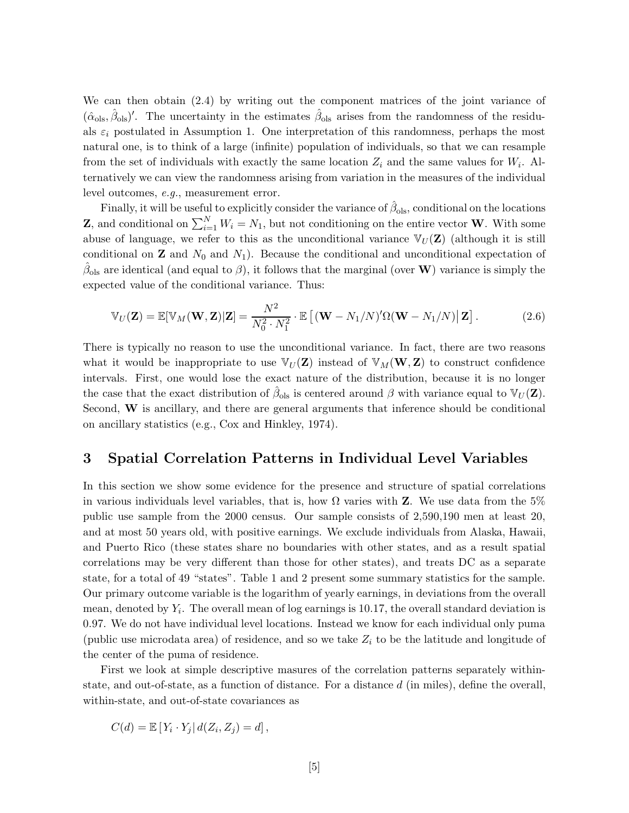We can then obtain (2.4) by writing out the component matrices of the joint variance of  $({\hat\alpha}_{ols}, {\hat\beta}_{ols})'$ . The uncertainty in the estimates  ${\hat\beta}_{ols}$  arises from the randomness of the residuals  $\varepsilon_i$  postulated in Assumption 1. One interpretation of this randomness, perhaps the most natural one, is to think of a large (infinite) population of individuals, so that we can resample from the set of individuals with exactly the same location  $Z_i$  and the same values for  $W_i$ . Alternatively we can view the randomness arising from variation in the measures of the individual level outcomes, e.g., measurement error.

Finally, it will be useful to explicitly consider the variance of  $\hat{\beta}_{ols}$ , conditional on the locations **Z**, and conditional on  $\sum_{i=1}^{N} W_i = N_1$ , but not conditioning on the entire vector **W**. With some abuse of language, we refer to this as the unconditional variance  $\mathbb{V}_U(\mathbf{Z})$  (although it is still conditional on **Z** and  $N_0$  and  $N_1$ ). Because the conditional and unconditional expectation of  $\hat{\beta}_{ols}$  are identical (and equal to  $\beta$ ), it follows that the marginal (over W) variance is simply the expected value of the conditional variance. Thus:

$$
\mathbb{V}_U(\mathbf{Z}) = \mathbb{E}[\mathbb{V}_M(\mathbf{W}, \mathbf{Z})|\mathbf{Z}] = \frac{N^2}{N_0^2 \cdot N_1^2} \cdot \mathbb{E}\left[ (\mathbf{W} - N_1/N)' \Omega(\mathbf{W} - N_1/N) | \mathbf{Z} \right].
$$
 (2.6)

There is typically no reason to use the unconditional variance. In fact, there are two reasons what it would be inappropriate to use  $\mathbb{V}_U(\mathbf{Z})$  instead of  $\mathbb{V}_M(\mathbf{W}, \mathbf{Z})$  to construct confidence intervals. First, one would lose the exact nature of the distribution, because it is no longer the case that the exact distribution of  $\hat{\beta}_{ols}$  is centered around  $\beta$  with variance equal to  $\mathbb{V}_U(\mathbf{Z})$ . Second, W is ancillary, and there are general arguments that inference should be conditional on ancillary statistics (e.g., Cox and Hinkley, 1974).

### 3 Spatial Correlation Patterns in Individual Level Variables

In this section we show some evidence for the presence and structure of spatial correlations in various individuals level variables, that is, how  $\Omega$  varies with **Z**. We use data from the 5% public use sample from the 2000 census. Our sample consists of 2,590,190 men at least 20, and at most 50 years old, with positive earnings. We exclude individuals from Alaska, Hawaii, and Puerto Rico (these states share no boundaries with other states, and as a result spatial correlations may be very different than those for other states), and treats DC as a separate state, for a total of 49 "states". Table 1 and 2 present some summary statistics for the sample. Our primary outcome variable is the logarithm of yearly earnings, in deviations from the overall mean, denoted by  $Y_i$ . The overall mean of log earnings is 10.17, the overall standard deviation is 0.97. We do not have individual level locations. Instead we know for each individual only puma (public use microdata area) of residence, and so we take  $Z_i$  to be the latitude and longitude of the center of the puma of residence.

First we look at simple descriptive masures of the correlation patterns separately withinstate, and out-of-state, as a function of distance. For a distance  $d$  (in miles), define the overall, within-state, and out-of-state covariances as

$$
C(d) = \mathbb{E}\left[Y_i \cdot Y_j | d(Z_i, Z_j) = d\right],
$$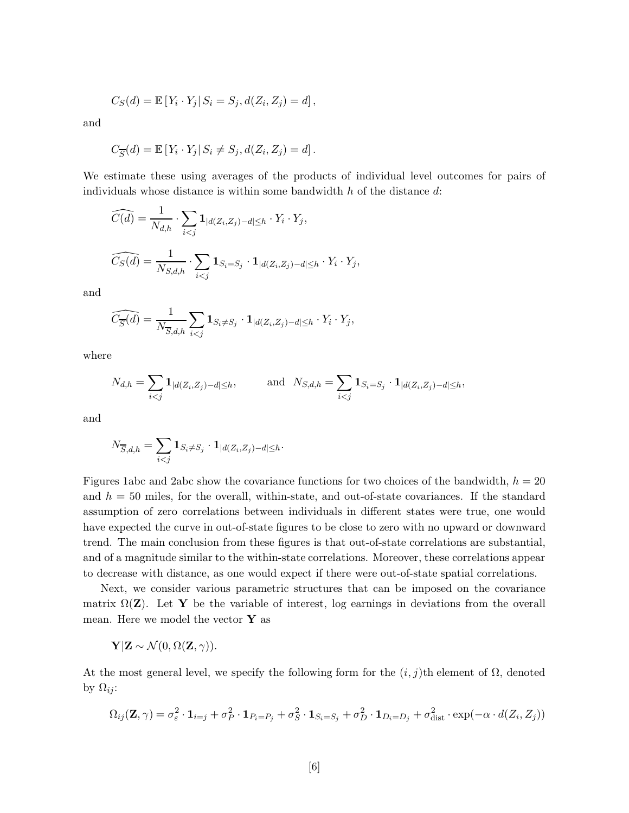$$
C_S(d) = \mathbb{E}[Y_i \cdot Y_j | S_i = S_j, d(Z_i, Z_j) = d],
$$

and

$$
C_{\overline{S}}(d) = \mathbb{E}\left[Y_i \cdot Y_j \mid S_i \neq S_j, d(Z_i, Z_j) = d\right].
$$

We estimate these using averages of the products of individual level outcomes for pairs of individuals whose distance is within some bandwidth  $h$  of the distance  $d$ :

$$
\widehat{C(d)} = \frac{1}{N_{d,h}} \cdot \sum_{i < j} \mathbf{1}_{|d(Z_i, Z_j) - d| \le h} \cdot Y_i \cdot Y_j,
$$
\n
$$
\widehat{C_S(d)} = \frac{1}{N_{S,d,h}} \cdot \sum_{i < j} \mathbf{1}_{S_i = S_j} \cdot \mathbf{1}_{|d(Z_i, Z_j) - d| \le h} \cdot Y_i \cdot Y_j,
$$

and

$$
\widehat{C_{\overline{S}}(d)} = \frac{1}{N_{\overline{S},d,h}} \sum_{i < j} \mathbf{1}_{S_i \neq S_j} \cdot \mathbf{1}_{|d(Z_i, Z_j) - d| \leq h} \cdot Y_i \cdot Y_j,
$$

where

$$
N_{d,h} = \sum_{i < j} \mathbf{1}_{|d(Z_i, Z_j) - d| \le h}, \quad \text{and} \quad N_{S,d,h} = \sum_{i < j} \mathbf{1}_{S_i = S_j} \cdot \mathbf{1}_{|d(Z_i, Z_j) - d| \le h},
$$

and

$$
N_{\overline{S},d,h} = \sum_{i
$$

Figures 1abc and 2abc show the covariance functions for two choices of the bandwidth,  $h = 20$ and  $h = 50$  miles, for the overall, within-state, and out-of-state covariances. If the standard assumption of zero correlations between individuals in different states were true, one would have expected the curve in out-of-state figures to be close to zero with no upward or downward trend. The main conclusion from these figures is that out-of-state correlations are substantial, and of a magnitude similar to the within-state correlations. Moreover, these correlations appear to decrease with distance, as one would expect if there were out-of-state spatial correlations.

Next, we consider various parametric structures that can be imposed on the covariance matrix  $\Omega(\mathbf{Z})$ . Let Y be the variable of interest, log earnings in deviations from the overall mean. Here we model the vector  $\mathbf{Y}$  as

$$
\mathbf{Y}|\mathbf{Z} \sim \mathcal{N}(0, \Omega(\mathbf{Z}, \gamma)).
$$

At the most general level, we specify the following form for the  $(i, j)$ th element of  $\Omega$ , denoted by  $\Omega_{ij}$ :

$$
\Omega_{ij}(\mathbf{Z}, \gamma) = \sigma_{\varepsilon}^2 \cdot \mathbf{1}_{i=j} + \sigma_P^2 \cdot \mathbf{1}_{P_i = P_j} + \sigma_S^2 \cdot \mathbf{1}_{S_i = S_j} + \sigma_D^2 \cdot \mathbf{1}_{D_i = D_j} + \sigma_{\text{dist}}^2 \cdot \exp(-\alpha \cdot d(Z_i, Z_j))
$$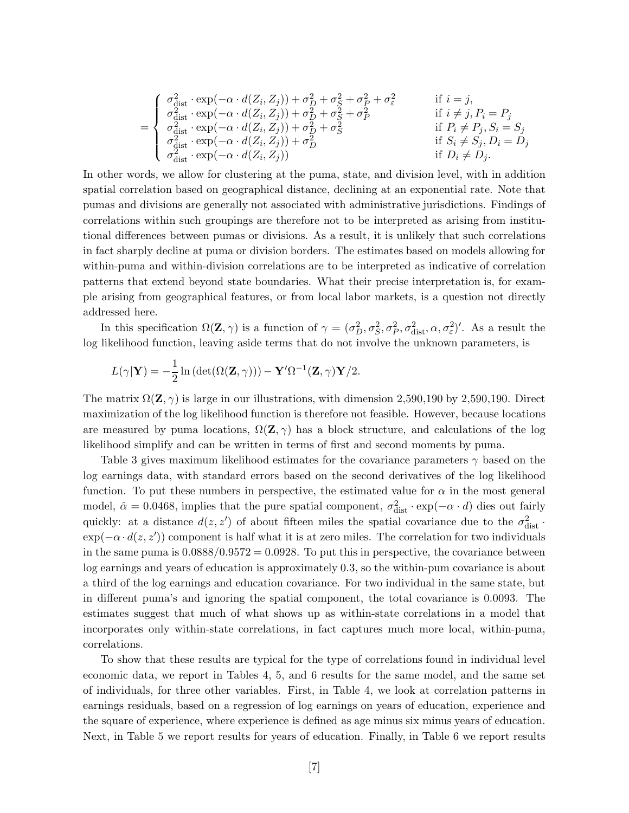$$
= \left\{\begin{array}{ll} \sigma_{\rm dist}^2\cdot\exp(-\alpha\cdot d(Z_i,Z_j))+\sigma_D^2+\sigma_S^2+\sigma_P^2+\sigma_\varepsilon^2 & \quad\text{if } i=j,\\ \sigma_{\rm dist}^2\cdot\exp(-\alpha\cdot d(Z_i,Z_j))+\sigma_D^2+\sigma_S^2+\sigma_P^2 & \quad\text{if } i\neq j, P_i=P_j\\ \sigma_{\rm dist}^2\cdot\exp(-\alpha\cdot d(Z_i,Z_j))+\sigma_D^2+\sigma_S^2 & \quad\text{if } P_i\neq P_j, S_i=S_j\\ \sigma_{\rm dist}^2\cdot\exp(-\alpha\cdot d(Z_i,Z_j))+\sigma_D^2 & \quad\text{if } S_i\neq S_j, D_i=D_j\\ \sigma_{\rm dist}^2\cdot\exp(-\alpha\cdot d(Z_i,Z_j)) & \quad\text{if } D_i\neq D_j. \end{array}\right.
$$

In other words, we allow for clustering at the puma, state, and division level, with in addition spatial correlation based on geographical distance, declining at an exponential rate. Note that pumas and divisions are generally not associated with administrative jurisdictions. Findings of correlations within such groupings are therefore not to be interpreted as arising from institutional differences between pumas or divisions. As a result, it is unlikely that such correlations in fact sharply decline at puma or division borders. The estimates based on models allowing for within-puma and within-division correlations are to be interpreted as indicative of correlation patterns that extend beyond state boundaries. What their precise interpretation is, for example arising from geographical features, or from local labor markets, is a question not directly addressed here.

In this specification  $\Omega(\mathbf{Z}, \gamma)$  is a function of  $\gamma = (\sigma_D^2, \sigma_S^2, \sigma_P^2, \sigma_{\text{dist}}^2, \alpha, \sigma_\varepsilon^2)'$ . As a result the log likelihood function, leaving aside terms that do not involve the unknown parameters, is

$$
L(\gamma | \mathbf{Y}) = -\frac{1}{2} \ln \left( \det(\Omega(\mathbf{Z}, \gamma)) \right) - \mathbf{Y}' \Omega^{-1}(\mathbf{Z}, \gamma) \mathbf{Y}/2.
$$

The matrix  $\Omega(\mathbf{Z}, \gamma)$  is large in our illustrations, with dimension 2,590,190 by 2,590,190. Direct maximization of the log likelihood function is therefore not feasible. However, because locations are measured by puma locations,  $\Omega(\mathbf{Z}, \gamma)$  has a block structure, and calculations of the log likelihood simplify and can be written in terms of first and second moments by puma.

Table 3 gives maximum likelihood estimates for the covariance parameters  $\gamma$  based on the log earnings data, with standard errors based on the second derivatives of the log likelihood function. To put these numbers in perspective, the estimated value for  $\alpha$  in the most general model,  $\hat{\alpha} = 0.0468$ , implies that the pure spatial component,  $\sigma_{dist}^2 \cdot \exp(-\alpha \cdot d)$  dies out fairly quickly: at a distance  $d(z, z')$  of about fifteen miles the spatial covariance due to the  $\sigma_{\text{dist}}^2$ .  $\exp(-\alpha \cdot d(z, z'))$  component is half what it is at zero miles. The correlation for two individuals in the same puma is  $0.0888/0.9572 = 0.0928$ . To put this in perspective, the covariance between log earnings and years of education is approximately 0.3, so the within-pum covariance is about a third of the log earnings and education covariance. For two individual in the same state, but in different puma's and ignoring the spatial component, the total covariance is 0.0093. The estimates suggest that much of what shows up as within-state correlations in a model that incorporates only within-state correlations, in fact captures much more local, within-puma, correlations.

To show that these results are typical for the type of correlations found in individual level economic data, we report in Tables 4, 5, and 6 results for the same model, and the same set of individuals, for three other variables. First, in Table 4, we look at correlation patterns in earnings residuals, based on a regression of log earnings on years of education, experience and the square of experience, where experience is defined as age minus six minus years of education. Next, in Table 5 we report results for years of education. Finally, in Table 6 we report results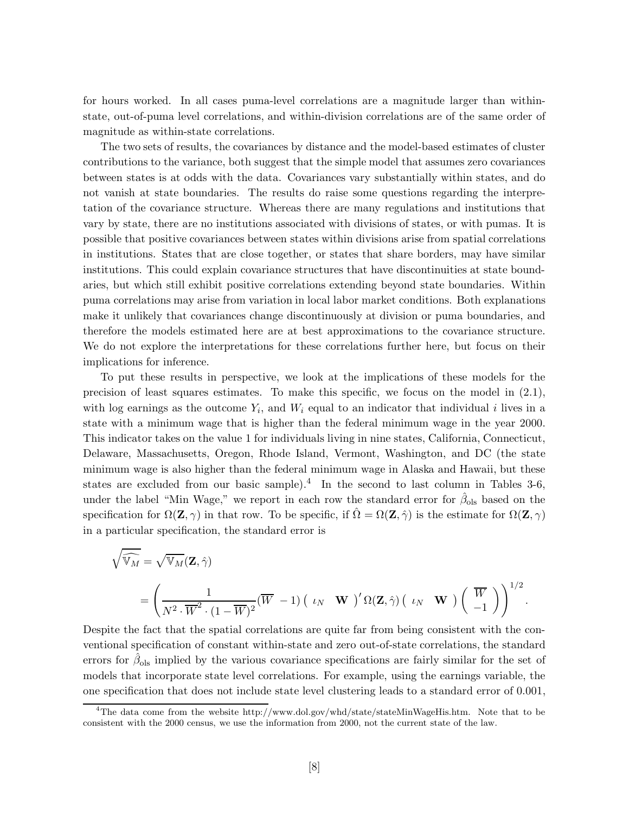for hours worked. In all cases puma-level correlations are a magnitude larger than withinstate, out-of-puma level correlations, and within-division correlations are of the same order of magnitude as within-state correlations.

The two sets of results, the covariances by distance and the model-based estimates of cluster contributions to the variance, both suggest that the simple model that assumes zero covariances between states is at odds with the data. Covariances vary substantially within states, and do not vanish at state boundaries. The results do raise some questions regarding the interpretation of the covariance structure. Whereas there are many regulations and institutions that vary by state, there are no institutions associated with divisions of states, or with pumas. It is possible that positive covariances between states within divisions arise from spatial correlations in institutions. States that are close together, or states that share borders, may have similar institutions. This could explain covariance structures that have discontinuities at state boundaries, but which still exhibit positive correlations extending beyond state boundaries. Within puma correlations may arise from variation in local labor market conditions. Both explanations make it unlikely that covariances change discontinuously at division or puma boundaries, and therefore the models estimated here are at best approximations to the covariance structure. We do not explore the interpretations for these correlations further here, but focus on their implications for inference.

To put these results in perspective, we look at the implications of these models for the precision of least squares estimates. To make this specific, we focus on the model in (2.1), with log earnings as the outcome  $Y_i$ , and  $W_i$  equal to an indicator that individual i lives in a state with a minimum wage that is higher than the federal minimum wage in the year 2000. This indicator takes on the value 1 for individuals living in nine states, California, Connecticut, Delaware, Massachusetts, Oregon, Rhode Island, Vermont, Washington, and DC (the state minimum wage is also higher than the federal minimum wage in Alaska and Hawaii, but these states are excluded from our basic sample).<sup>4</sup> In the second to last column in Tables 3-6, under the label "Min Wage," we report in each row the standard error for  $\hat{\beta}_{ols}$  based on the specification for  $\Omega(\mathbf{Z}, \gamma)$  in that row. To be specific, if  $\Omega = \Omega(\mathbf{Z}, \hat{\gamma})$  is the estimate for  $\Omega(\mathbf{Z}, \gamma)$ in a particular specification, the standard error is

$$
\sqrt{\widehat{\mathbb{V}_{M}}} = \sqrt{\mathbb{V}_{M}}(\mathbf{Z}, \hat{\gamma})
$$
\n
$$
= \left(\frac{1}{N^{2} \cdot \overline{W}^{2} \cdot (1 - \overline{W})^{2}} (\overline{W} - 1) \begin{pmatrix} \iota_{N} & \mathbf{W} \end{pmatrix}' \Omega(\mathbf{Z}, \hat{\gamma}) \begin{pmatrix} \iota_{N} & \mathbf{W} \end{pmatrix} \begin{pmatrix} \overline{W} \\ -1 \end{pmatrix}\right)^{1/2}.
$$

Despite the fact that the spatial correlations are quite far from being consistent with the conventional specification of constant within-state and zero out-of-state correlations, the standard errors for  $\hat{\beta}_{ols}$  implied by the various covariance specifications are fairly similar for the set of models that incorporate state level correlations. For example, using the earnings variable, the one specification that does not include state level clustering leads to a standard error of 0.001,

<sup>&</sup>lt;sup>4</sup>The data come from the website http://www.dol.gov/whd/state/stateMinWageHis.htm. Note that to be consistent with the 2000 census, we use the information from 2000, not the current state of the law.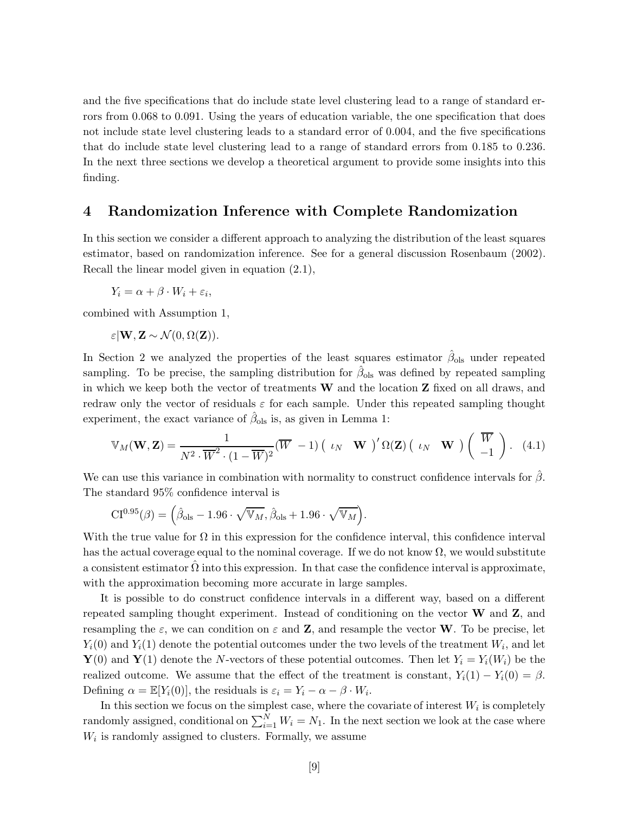and the five specifications that do include state level clustering lead to a range of standard errors from 0.068 to 0.091. Using the years of education variable, the one specification that does not include state level clustering leads to a standard error of 0.004, and the five specifications that do include state level clustering lead to a range of standard errors from 0.185 to 0.236. In the next three sections we develop a theoretical argument to provide some insights into this finding.

### 4 Randomization Inference with Complete Randomization

In this section we consider a different approach to analyzing the distribution of the least squares estimator, based on randomization inference. See for a general discussion Rosenbaum (2002). Recall the linear model given in equation (2.1),

$$
Y_i = \alpha + \beta \cdot W_i + \varepsilon_i,
$$

combined with Assumption 1,

$$
\varepsilon | \mathbf{W}, \mathbf{Z} \sim \mathcal{N}(0, \Omega(\mathbf{Z})).
$$

In Section 2 we analyzed the properties of the least squares estimator  $\hat{\beta}_{ols}$  under repeated sampling. To be precise, the sampling distribution for  $\hat{\beta}_{ols}$  was defined by repeated sampling in which we keep both the vector of treatments  $\bf{W}$  and the location  $\bf{Z}$  fixed on all draws, and redraw only the vector of residuals  $\varepsilon$  for each sample. Under this repeated sampling thought experiment, the exact variance of  $\hat{\beta}_{ols}$  is, as given in Lemma 1:

$$
\mathbb{V}_M(\mathbf{W}, \mathbf{Z}) = \frac{1}{N^2 \cdot \overline{W}^2 \cdot (1 - \overline{W})^2} (\overline{W} - 1) \begin{pmatrix} \iota_N & \mathbf{W} \end{pmatrix}' \Omega(\mathbf{Z}) \begin{pmatrix} \iota_N & \mathbf{W} \end{pmatrix} \begin{pmatrix} \overline{W} \\ -1 \end{pmatrix} . \tag{4.1}
$$

We can use this variance in combination with normality to construct confidence intervals for  $\beta$ . The standard 95% confidence interval is

$$
CI^{0.95}(\beta) = (\hat{\beta}_{ols} - 1.96 \cdot \sqrt{\mathbb{V}_M}, \hat{\beta}_{ols} + 1.96 \cdot \sqrt{\mathbb{V}_M}).
$$

With the true value for  $\Omega$  in this expression for the confidence interval, this confidence interval has the actual coverage equal to the nominal coverage. If we do not know  $\Omega$ , we would substitute a consistent estimator  $\Omega$  into this expression. In that case the confidence interval is approximate, with the approximation becoming more accurate in large samples.

It is possible to do construct confidence intervals in a different way, based on a different repeated sampling thought experiment. Instead of conditioning on the vector  $\bf{W}$  and  $\bf{Z}$ , and resampling the  $\varepsilon$ , we can condition on  $\varepsilon$  and **Z**, and resample the vector **W**. To be precise, let  $Y_i(0)$  and  $Y_i(1)$  denote the potential outcomes under the two levels of the treatment  $W_i$ , and let  $\mathbf{Y}(0)$  and  $\mathbf{Y}(1)$  denote the N-vectors of these potential outcomes. Then let  $Y_i = Y_i(W_i)$  be the realized outcome. We assume that the effect of the treatment is constant,  $Y_i(1) - Y_i(0) = \beta$ . Defining  $\alpha = \mathbb{E}[Y_i(0)]$ , the residuals is  $\varepsilon_i = Y_i - \alpha - \beta \cdot W_i$ .

In this section we focus on the simplest case, where the covariate of interest  $W_i$  is completely randomly assigned, conditional on  $\sum_{i=1}^{N} W_i = N_1$ . In the next section we look at the case where  $W_i$  is randomly assigned to clusters. Formally, we assume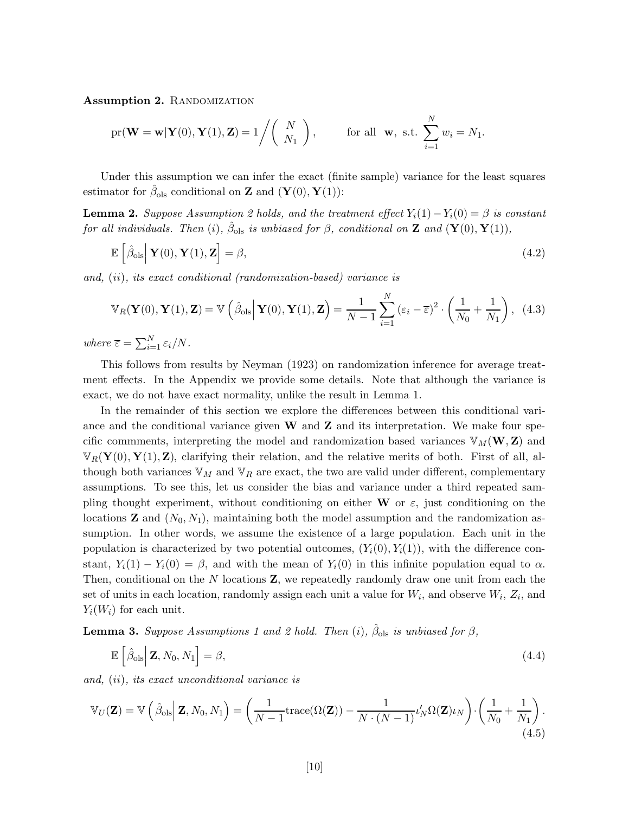Assumption 2. RANDOMIZATION

$$
\text{pr}(\mathbf{W}=\mathbf{w}|\mathbf{Y}(0),\mathbf{Y}(1),\mathbf{Z})=1/\left(\begin{array}{c}N\\N_1\end{array}\right),\qquad\text{for all }\mathbf{w},\text{ s.t. }\sum_{i=1}^N w_i=N_1.
$$

Under this assumption we can infer the exact (finite sample) variance for the least squares estimator for  $\hat{\beta}_{ols}$  conditional on **Z** and  $(\mathbf{Y}(0), \mathbf{Y}(1))$ :

**Lemma 2.** Suppose Assumption 2 holds, and the treatment effect  $Y_i(1) - Y_i(0) = \beta$  is constant for all individuals. Then (i),  $\hat{\beta}_{ols}$  is unbiased for  $\beta$ , conditional on **Z** and  $(\mathbf{Y}(0), \mathbf{Y}(1)),$ 

$$
\mathbb{E}\left[\hat{\beta}_{\text{ols}}\big|\mathbf{Y}(0),\mathbf{Y}(1),\mathbf{Z}\right]=\beta,\tag{4.2}
$$

and, (ii), its exact conditional (randomization-based) variance is

$$
\mathbb{V}_R(\mathbf{Y}(0), \mathbf{Y}(1), \mathbf{Z}) = \mathbb{V}\left(\hat{\beta}_{\text{ols}} \middle| \mathbf{Y}(0), \mathbf{Y}(1), \mathbf{Z}\right) = \frac{1}{N-1} \sum_{i=1}^N \left(\varepsilon_i - \overline{\varepsilon}\right)^2 \cdot \left(\frac{1}{N_0} + \frac{1}{N_1}\right), \tag{4.3}
$$

where  $\overline{\varepsilon} = \sum_{i=1}^{N} \varepsilon_i / N$ .

This follows from results by Neyman (1923) on randomization inference for average treatment effects. In the Appendix we provide some details. Note that although the variance is exact, we do not have exact normality, unlike the result in Lemma 1.

In the remainder of this section we explore the differences between this conditional variance and the conditional variance given  $W$  and  $Z$  and its interpretation. We make four specific commments, interpreting the model and randomization based variances  $\mathbb{V}_M(\mathbf{W}, \mathbf{Z})$  and  $\mathbb{V}_R(\mathbf{Y}(0), \mathbf{Y}(1), \mathbf{Z})$ , clarifying their relation, and the relative merits of both. First of all, although both variances  $\mathbb{V}_M$  and  $\mathbb{V}_R$  are exact, the two are valid under different, complementary assumptions. To see this, let us consider the bias and variance under a third repeated sampling thought experiment, without conditioning on either W or  $\varepsilon$ , just conditioning on the locations **Z** and  $(N_0, N_1)$ , maintaining both the model assumption and the randomization assumption. In other words, we assume the existence of a large population. Each unit in the population is characterized by two potential outcomes,  $(Y_i(0), Y_i(1))$ , with the difference constant,  $Y_i(1) - Y_i(0) = \beta$ , and with the mean of  $Y_i(0)$  in this infinite population equal to  $\alpha$ . Then, conditional on the  $N$  locations  $\mathbf{Z}$ , we repeatedly randomly draw one unit from each the set of units in each location, randomly assign each unit a value for  $W_i$ , and observe  $W_i$ ,  $Z_i$ , and  $Y_i(W_i)$  for each unit.

**Lemma 3.** Suppose Assumptions 1 and 2 hold. Then (i),  $\hat{\beta}_{ols}$  is unbiased for  $\beta$ ,

$$
\mathbb{E}\left[\hat{\beta}_{\text{ols}}\Big|\mathbf{Z}, N_0, N_1\right] = \beta,\tag{4.4}
$$

and, (ii), its exact unconditional variance is

$$
\mathbb{V}_U(\mathbf{Z}) = \mathbb{V}\left(\hat{\beta}_{\text{ols}} \Big| \mathbf{Z}, N_0, N_1\right) = \left(\frac{1}{N-1} \text{trace}(\Omega(\mathbf{Z})) - \frac{1}{N \cdot (N-1)} \iota_N' \Omega(\mathbf{Z}) \iota_N\right) \cdot \left(\frac{1}{N_0} + \frac{1}{N_1}\right). \tag{4.5}
$$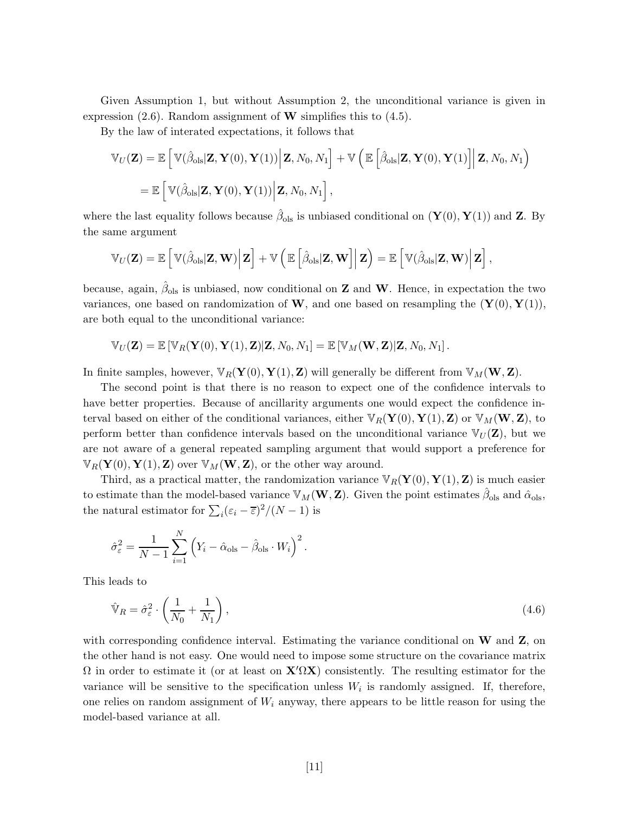Given Assumption 1, but without Assumption 2, the unconditional variance is given in expression  $(2.6)$ . Random assignment of **W** simplifies this to  $(4.5)$ .

By the law of interated expectations, it follows that

$$
\mathbb{V}_{U}(\mathbf{Z}) = \mathbb{E}\left[\mathbb{V}(\hat{\beta}_{ols}|\mathbf{Z}, \mathbf{Y}(0), \mathbf{Y}(1))\Big|\mathbf{Z}, N_0, N_1\right] + \mathbb{V}\left(\mathbb{E}\left[\hat{\beta}_{ols}|\mathbf{Z}, \mathbf{Y}(0), \mathbf{Y}(1)\right]\Big|\mathbf{Z}, N_0, N_1\right)
$$
  
=  $\mathbb{E}\left[\mathbb{V}(\hat{\beta}_{ols}|\mathbf{Z}, \mathbf{Y}(0), \mathbf{Y}(1))\Big|\mathbf{Z}, N_0, N_1\right],$ 

where the last equality follows because  $\hat{\beta}_{ols}$  is unbiased conditional on  $(\mathbf{Y}(0), \mathbf{Y}(1))$  and **Z**. By the same argument

$$
\mathbb{V}_U(\mathbf{Z}) = \mathbb{E}\left[\left.\mathbb{V}(\hat{\beta}_{\text{ols}}|\mathbf{Z}, \mathbf{W})\right|\mathbf{Z}\right] + \mathbb{V}\left(\left.\mathbb{E}\left[\hat{\beta}_{\text{ols}}|\mathbf{Z}, \mathbf{W}\right]\right|\mathbf{Z}\right) = \mathbb{E}\left[\left.\mathbb{V}(\hat{\beta}_{\text{ols}}|\mathbf{Z}, \mathbf{W})\right|\mathbf{Z}\right],
$$

because, again,  $\hat{\beta}_{ols}$  is unbiased, now conditional on **Z** and **W**. Hence, in expectation the two variances, one based on randomization of **W**, and one based on resampling the  $(\mathbf{Y}(0), \mathbf{Y}(1)),$ are both equal to the unconditional variance:

 $\mathbb{V}_{U}(\mathbf{Z}) = \mathbb{E} [\mathbb{V}_{B}(\mathbf{Y}(0), \mathbf{Y}(1), \mathbf{Z}) | \mathbf{Z}, N_0, N_1] = \mathbb{E} [\mathbb{V}_{M}(\mathbf{W}, \mathbf{Z}) | \mathbf{Z}, N_0, N_1].$ 

In finite samples, however,  $\mathbb{V}_R(Y(0), Y(1), Z)$  will generally be different from  $\mathbb{V}_M(W, Z)$ .

The second point is that there is no reason to expect one of the confidence intervals to have better properties. Because of ancillarity arguments one would expect the confidence interval based on either of the conditional variances, either  $\mathbb{V}_R(\mathbf{Y}(0), \mathbf{Y}(1), \mathbf{Z})$  or  $\mathbb{V}_M(\mathbf{W}, \mathbf{Z})$ , to perform better than confidence intervals based on the unconditional variance  $V_U(\mathbf{Z})$ , but we are not aware of a general repeated sampling argument that would support a preference for  $\mathbb{V}_R(\mathbf{Y}(0), \mathbf{Y}(1), \mathbf{Z})$  over  $\mathbb{V}_M(\mathbf{W}, \mathbf{Z})$ , or the other way around.

Third, as a practical matter, the randomization variance  $\mathbb{V}_R(\mathbf{Y}(0), \mathbf{Y}(1), \mathbf{Z})$  is much easier to estimate than the model-based variance  $\mathbb{V}_M(\mathbf{W}, \mathbf{Z})$ . Given the point estimates  $\hat{\beta}_{ols}$  and  $\hat{\alpha}_{ols}$ , the natural estimator for  $\sum_i (\varepsilon_i - \overline{\varepsilon})^2 / (N - 1)$  is

$$
\hat{\sigma}_{\varepsilon}^{2} = \frac{1}{N-1} \sum_{i=1}^{N} (Y_{i} - \hat{\alpha}_{\text{ols}} - \hat{\beta}_{\text{ols}} \cdot W_{i})^{2}.
$$

This leads to

$$
\hat{\mathbb{V}}_R = \hat{\sigma}_{\varepsilon}^2 \cdot \left(\frac{1}{N_0} + \frac{1}{N_1}\right),\tag{4.6}
$$

with corresponding confidence interval. Estimating the variance conditional on  $W$  and  $Z$ , on the other hand is not easy. One would need to impose some structure on the covariance matrix  $\Omega$  in order to estimate it (or at least on  $\mathbf{X}'\Omega\mathbf{X}$ ) consistently. The resulting estimator for the variance will be sensitive to the specification unless  $W_i$  is randomly assigned. If, therefore, one relies on random assignment of  $W_i$  anyway, there appears to be little reason for using the model-based variance at all.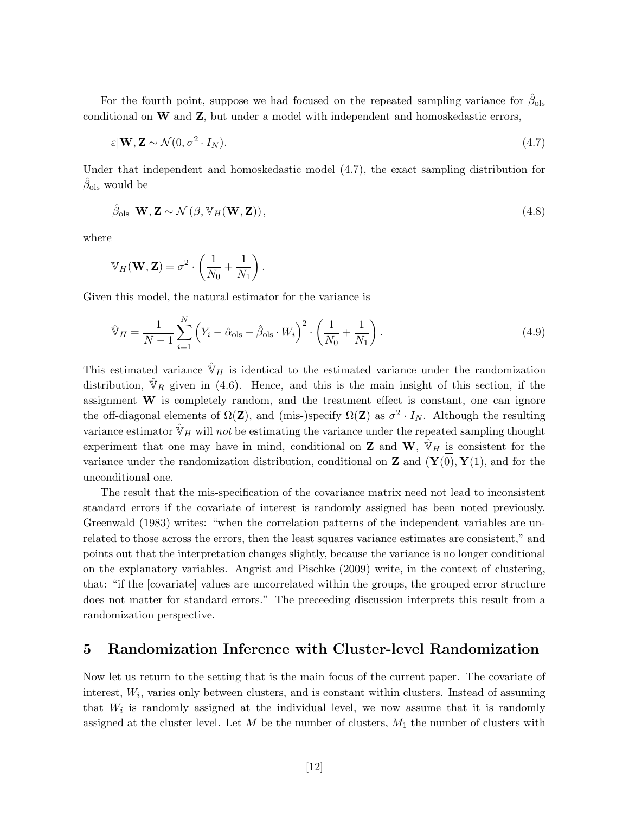For the fourth point, suppose we had focused on the repeated sampling variance for  $\hat{\beta}_{ols}$ conditional on W and Z, but under a model with independent and homoskedastic errors,

$$
\varepsilon | \mathbf{W}, \mathbf{Z} \sim \mathcal{N}(0, \sigma^2 \cdot I_N). \tag{4.7}
$$

Under that independent and homoskedastic model (4.7), the exact sampling distribution for  $\hat{\beta}_{ols}$  would be

$$
\hat{\beta}_{\text{ols}} \Big| \mathbf{W}, \mathbf{Z} \sim \mathcal{N} \left( \beta, \mathbb{V}_H(\mathbf{W}, \mathbf{Z}) \right), \tag{4.8}
$$

where

$$
\mathbb{V}_H(\mathbf{W}, \mathbf{Z}) = \sigma^2 \cdot \left(\frac{1}{N_0} + \frac{1}{N_1}\right).
$$

Given this model, the natural estimator for the variance is

$$
\hat{\mathbb{V}}_H = \frac{1}{N-1} \sum_{i=1}^N \left( Y_i - \hat{\alpha}_{\text{ols}} - \hat{\beta}_{\text{ols}} \cdot W_i \right)^2 \cdot \left( \frac{1}{N_0} + \frac{1}{N_1} \right). \tag{4.9}
$$

This estimated variance  $\hat{\mathbb{V}}_H$  is identical to the estimated variance under the randomization distribution,  $\hat{V}_R$  given in (4.6). Hence, and this is the main insight of this section, if the assignment W is completely random, and the treatment effect is constant, one can ignore the off-diagonal elements of  $\Omega(\mathbf{Z})$ , and (mis-)specify  $\Omega(\mathbf{Z})$  as  $\sigma^2 \cdot I_N$ . Although the resulting variance estimator  $\hat{\mathbb{V}}_H$  will not be estimating the variance under the repeated sampling thought experiment that one may have in mind, conditional on **Z** and **W**,  $\hat{\mathbb{V}}_H$  is consistent for the variance under the randomization distribution, conditional on **Z** and  $(\mathbf{Y}(0), \mathbf{Y}(1))$ , and for the unconditional one.

The result that the mis-specification of the covariance matrix need not lead to inconsistent standard errors if the covariate of interest is randomly assigned has been noted previously. Greenwald (1983) writes: "when the correlation patterns of the independent variables are unrelated to those across the errors, then the least squares variance estimates are consistent," and points out that the interpretation changes slightly, because the variance is no longer conditional on the explanatory variables. Angrist and Pischke (2009) write, in the context of clustering, that: "if the [covariate] values are uncorrelated within the groups, the grouped error structure does not matter for standard errors." The preceeding discussion interprets this result from a randomization perspective.

### 5 Randomization Inference with Cluster-level Randomization

Now let us return to the setting that is the main focus of the current paper. The covariate of interest,  $W_i$ , varies only between clusters, and is constant within clusters. Instead of assuming that  $W_i$  is randomly assigned at the individual level, we now assume that it is randomly assigned at the cluster level. Let  $M$  be the number of clusters,  $M_1$  the number of clusters with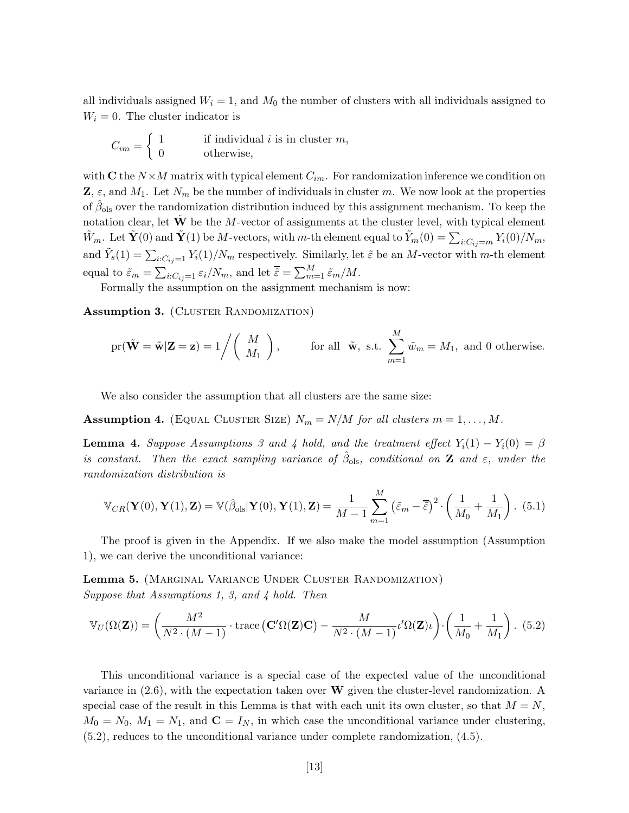all individuals assigned  $W_i = 1$ , and  $M_0$  the number of clusters with all individuals assigned to  $W_i = 0$ . The cluster indicator is

$$
C_{im} = \begin{cases} 1 & \text{if individual } i \text{ is in cluster } m, \\ 0 & \text{otherwise,} \end{cases}
$$

with C the  $N \times M$  matrix with typical element  $C_{im}$ . For randomization inference we condition on  $\mathbf{Z}, \varepsilon$ , and  $M_1$ . Let  $N_m$  be the number of individuals in cluster m. We now look at the properties of  $\hat{\beta}_{ols}$  over the randomization distribution induced by this assignment mechanism. To keep the notation clear, let  $\tilde{W}$  be the M-vector of assignments at the cluster level, with typical element  $\tilde{W}_m$ . Let  $\tilde{\mathbf{Y}}(0)$  and  $\tilde{\mathbf{Y}}(1)$  be M-vectors, with m-th element equal to  $\tilde{Y}_m(0) = \sum_{i:C_{ij}=m} Y_i(0)/N_m$ , and  $\tilde{Y}_s(1) = \sum_{i:C_{ij}=1} Y_i(1)/N_m$  respectively. Similarly, let  $\tilde{\varepsilon}$  be an M-vector with m-th element equal to  $\tilde{\varepsilon}_m = \sum_{i:C_{ij}=1} \varepsilon_i/N_m$ , and let  $\overline{\tilde{\varepsilon}} = \sum_{m=1}^M \tilde{\varepsilon}_m/N$ .

Formally the assumption on the assignment mechanism is now:

Assumption 3. (CLUSTER RANDOMIZATION)

$$
\text{pr}(\tilde{\mathbf{W}} = \tilde{\mathbf{w}} | \mathbf{Z} = \mathbf{z}) = 1 \bigg/ \bigg( \begin{array}{c} M \\ M_1 \end{array} \bigg), \qquad \text{for all } \tilde{\mathbf{w}}, \text{ s.t. } \sum_{m=1}^{M} \tilde{w}_m = M_1, \text{ and } 0 \text{ otherwise.}
$$

We also consider the assumption that all clusters are the same size:

Assumption 4. (EQUAL CLUSTER SIZE)  $N_m = N/M$  for all clusters  $m = 1, \ldots, M$ .

**Lemma 4.** Suppose Assumptions 3 and 4 hold, and the treatment effect  $Y_i(1) - Y_i(0) = \beta$ is constant. Then the exact sampling variance of  $\hat{\beta}_{ols}$ , conditional on **Z** and  $\varepsilon$ , under the randomization distribution is

$$
\mathbb{V}_{CR}(\mathbf{Y}(0),\mathbf{Y}(1),\mathbf{Z}) = \mathbb{V}(\hat{\beta}_{ols}|\mathbf{Y}(0),\mathbf{Y}(1),\mathbf{Z}) = \frac{1}{M-1}\sum_{m=1}^{M} (\tilde{\varepsilon}_m - \overline{\tilde{\varepsilon}})^2 \cdot \left(\frac{1}{M_0} + \frac{1}{M_1}\right). (5.1)
$$

The proof is given in the Appendix. If we also make the model assumption (Assumption 1), we can derive the unconditional variance:

Lemma 5. (Marginal Variance Under Cluster Randomization) Suppose that Assumptions 1, 3, and 4 hold. Then

$$
\mathbb{V}_U(\Omega(\mathbf{Z})) = \left(\frac{M^2}{N^2 \cdot (M-1)} \cdot \text{trace}\left(\mathbf{C}'\Omega(\mathbf{Z})\mathbf{C}\right) - \frac{M}{N^2 \cdot (M-1)} \iota' \Omega(\mathbf{Z})\iota\right) \cdot \left(\frac{1}{M_0} + \frac{1}{M_1}\right). (5.2)
$$

This unconditional variance is a special case of the expected value of the unconditional variance in  $(2.6)$ , with the expectation taken over W given the cluster-level randomization. A special case of the result in this Lemma is that with each unit its own cluster, so that  $M = N$ ,  $M_0 = N_0, M_1 = N_1$ , and  $\mathbf{C} = I_N$ , in which case the unconditional variance under clustering, (5.2), reduces to the unconditional variance under complete randomization, (4.5).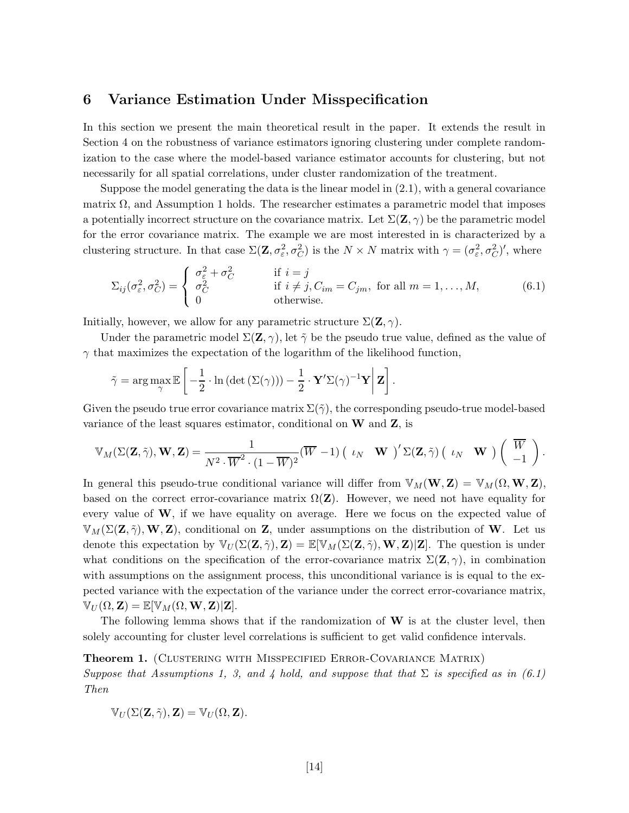### 6 Variance Estimation Under Misspecification

In this section we present the main theoretical result in the paper. It extends the result in Section 4 on the robustness of variance estimators ignoring clustering under complete randomization to the case where the model-based variance estimator accounts for clustering, but not necessarily for all spatial correlations, under cluster randomization of the treatment.

Suppose the model generating the data is the linear model in  $(2.1)$ , with a general covariance matrix  $\Omega$ , and Assumption 1 holds. The researcher estimates a parametric model that imposes a potentially incorrect structure on the covariance matrix. Let  $\Sigma(\mathbf{Z}, \gamma)$  be the parametric model for the error covariance matrix. The example we are most interested in is characterized by a clustering structure. In that case  $\Sigma(\mathbf{Z}, \sigma_{\varepsilon}^2, \sigma_C^2)$  is the  $N \times N$  matrix with  $\gamma = (\sigma_{\varepsilon}^2, \sigma_C^2)'$ , where

$$
\Sigma_{ij}(\sigma_{\varepsilon}^2, \sigma_C^2) = \begin{cases}\n\sigma_{\varepsilon}^2 + \sigma_C^2 & \text{if } i = j \\
\sigma_C^2 & \text{if } i \neq j, C_{im} = C_{jm}, \text{ for all } m = 1, ..., M, \\
0 & \text{otherwise.} \n\end{cases}
$$
\n(6.1)

Initially, however, we allow for any parametric structure  $\Sigma(\mathbf{Z}, \gamma)$ .

Under the parametric model  $\Sigma(\mathbf{Z}, \gamma)$ , let  $\tilde{\gamma}$  be the pseudo true value, defined as the value of  $\gamma$  that maximizes the expectation of the logarithm of the likelihood function,

$$
\tilde{\gamma} = \arg\max_{\gamma} \mathbb{E}\left[ -\frac{1}{2} \cdot \ln\left(\det\left(\Sigma(\gamma)\right)\right) - \frac{1}{2} \cdot \mathbf{Y}' \Sigma(\gamma)^{-1} \mathbf{Y} \middle| \mathbf{Z} \right].
$$

Given the pseudo true error covariance matrix  $\Sigma(\tilde{\gamma})$ , the corresponding pseudo-true model-based variance of the least squares estimator, conditional on  $W$  and  $Z$ , is

$$
\mathbb{V}_M(\Sigma(\mathbf{Z},\tilde{\gamma}),\mathbf{W},\mathbf{Z})=\frac{1}{N^2\cdot \overline{W}^2\cdot (1-\overline{W})^2}(\overline{W}-1)\begin{pmatrix} \iota_N & \mathbf{W} \end{pmatrix}'\Sigma(\mathbf{Z},\tilde{\gamma})\begin{pmatrix} \iota_N & \mathbf{W} \end{pmatrix}\begin{pmatrix} \overline{W} \\ -1 \end{pmatrix}.
$$

In general this pseudo-true conditional variance will differ from  $\mathbb{V}_M(\mathbf{W}, \mathbf{Z}) = \mathbb{V}_M(\Omega, \mathbf{W}, \mathbf{Z}),$ based on the correct error-covariance matrix  $\Omega(\mathbf{Z})$ . However, we need not have equality for every value of  $W$ , if we have equality on average. Here we focus on the expected value of  $\mathbb{V}_M(\Sigma(\mathbf{Z},\tilde{\gamma}),\mathbf{W},\mathbf{Z})$ , conditional on **Z**, under assumptions on the distribution of **W**. Let us denote this expectation by  $\mathbb{V}_U(\Sigma(\mathbf{Z},\tilde{\gamma}),\mathbf{Z})=\mathbb{E}[\mathbb{V}_M(\Sigma(\mathbf{Z},\tilde{\gamma}),\mathbf{W},\mathbf{Z})|\mathbf{Z}]$ . The question is under what conditions on the specification of the error-covariance matrix  $\Sigma(\mathbf{Z}, \gamma)$ , in combination with assumptions on the assignment process, this unconditional variance is is equal to the expected variance with the expectation of the variance under the correct error-covariance matrix,  $\mathbb{V}_U(\Omega,\mathbf{Z})=\mathbb{E}[\mathbb{V}_M(\Omega,\mathbf{W},\mathbf{Z})|\mathbf{Z}].$ 

The following lemma shows that if the randomization of  $W$  is at the cluster level, then solely accounting for cluster level correlations is sufficient to get valid confidence intervals.

#### Theorem 1. (CLUSTERING WITH MISSPECIFIED ERROR-COVARIANCE MATRIX)

Suppose that Assumptions 1, 3, and 4 hold, and suppose that that  $\Sigma$  is specified as in (6.1) Then

$$
\mathbb{V}_U(\Sigma(\mathbf{Z},\tilde{\gamma}),\mathbf{Z})=\mathbb{V}_U(\Omega,\mathbf{Z}).
$$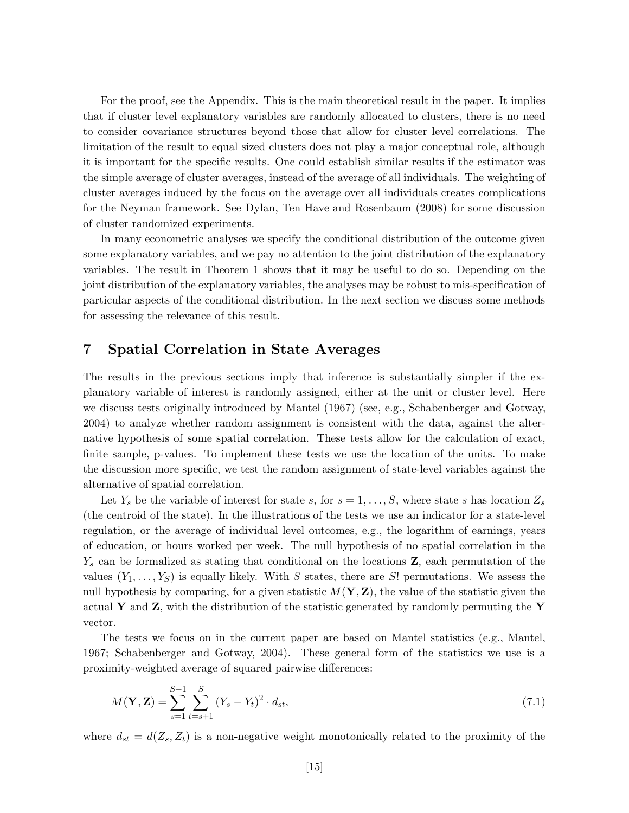For the proof, see the Appendix. This is the main theoretical result in the paper. It implies that if cluster level explanatory variables are randomly allocated to clusters, there is no need to consider covariance structures beyond those that allow for cluster level correlations. The limitation of the result to equal sized clusters does not play a major conceptual role, although it is important for the specific results. One could establish similar results if the estimator was the simple average of cluster averages, instead of the average of all individuals. The weighting of cluster averages induced by the focus on the average over all individuals creates complications for the Neyman framework. See Dylan, Ten Have and Rosenbaum (2008) for some discussion of cluster randomized experiments.

In many econometric analyses we specify the conditional distribution of the outcome given some explanatory variables, and we pay no attention to the joint distribution of the explanatory variables. The result in Theorem 1 shows that it may be useful to do so. Depending on the joint distribution of the explanatory variables, the analyses may be robust to mis-specification of particular aspects of the conditional distribution. In the next section we discuss some methods for assessing the relevance of this result.

## 7 Spatial Correlation in State Averages

The results in the previous sections imply that inference is substantially simpler if the explanatory variable of interest is randomly assigned, either at the unit or cluster level. Here we discuss tests originally introduced by Mantel (1967) (see, e.g., Schabenberger and Gotway, 2004) to analyze whether random assignment is consistent with the data, against the alternative hypothesis of some spatial correlation. These tests allow for the calculation of exact, finite sample, p-values. To implement these tests we use the location of the units. To make the discussion more specific, we test the random assignment of state-level variables against the alternative of spatial correlation.

Let  $Y_s$  be the variable of interest for state s, for  $s = 1, \ldots, S$ , where state s has location  $Z_s$ (the centroid of the state). In the illustrations of the tests we use an indicator for a state-level regulation, or the average of individual level outcomes, e.g., the logarithm of earnings, years of education, or hours worked per week. The null hypothesis of no spatial correlation in the  $Y_s$  can be formalized as stating that conditional on the locations  $\mathbf{Z}$ , each permutation of the values  $(Y_1, \ldots, Y_S)$  is equally likely. With S states, there are S! permutations. We assess the null hypothesis by comparing, for a given statistic  $M(Y, Z)$ , the value of the statistic given the actual Y and Z, with the distribution of the statistic generated by randomly permuting the Y vector.

The tests we focus on in the current paper are based on Mantel statistics (e.g., Mantel, 1967; Schabenberger and Gotway, 2004). These general form of the statistics we use is a proximity-weighted average of squared pairwise differences:

$$
M(\mathbf{Y}, \mathbf{Z}) = \sum_{s=1}^{S-1} \sum_{t=s+1}^{S} (Y_s - Y_t)^2 \cdot d_{st},
$$
\n(7.1)

where  $d_{st} = d(Z_s, Z_t)$  is a non-negative weight monotonically related to the proximity of the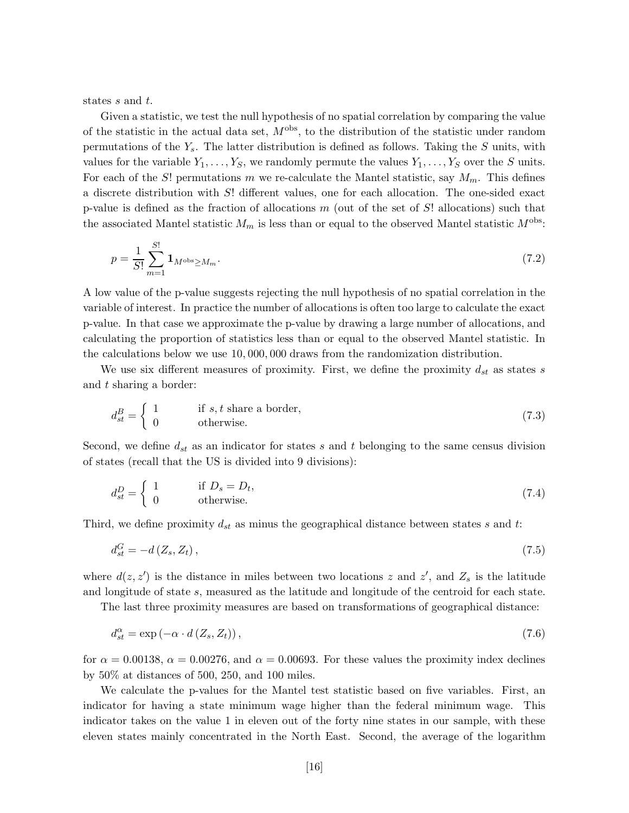states s and t.

Given a statistic, we test the null hypothesis of no spatial correlation by comparing the value of the statistic in the actual data set,  $M^{\text{obs}}$ , to the distribution of the statistic under random permutations of the  $Y_s$ . The latter distribution is defined as follows. Taking the S units, with values for the variable  $Y_1, \ldots, Y_S$ , we randomly permute the values  $Y_1, \ldots, Y_S$  over the S units. For each of the S! permutations m we re-calculate the Mantel statistic, say  $M_m$ . This defines a discrete distribution with S! different values, one for each allocation. The one-sided exact p-value is defined as the fraction of allocations  $m$  (out of the set of  $S!$  allocations) such that the associated Mantel statistic  $M_m$  is less than or equal to the observed Mantel statistic  $M^{\text{obs}}$ :

$$
p = \frac{1}{S!} \sum_{m=1}^{S!} \mathbf{1}_{M^{\text{obs}} \ge M_m}.
$$
 (7.2)

A low value of the p-value suggests rejecting the null hypothesis of no spatial correlation in the variable of interest. In practice the number of allocations is often too large to calculate the exact p-value. In that case we approximate the p-value by drawing a large number of allocations, and calculating the proportion of statistics less than or equal to the observed Mantel statistic. In the calculations below we use 10, 000, 000 draws from the randomization distribution.

We use six different measures of proximity. First, we define the proximity  $d_{st}$  as states s and t sharing a border:

$$
d_{st}^{B} = \begin{cases} 1 & \text{if } s, t \text{ share a border,} \\ 0 & \text{otherwise.} \end{cases}
$$
 (7.3)

Second, we define  $d_{st}$  as an indicator for states s and t belonging to the same census division of states (recall that the US is divided into 9 divisions):

$$
d_{st}^D = \begin{cases} 1 & \text{if } D_s = D_t, \\ 0 & \text{otherwise.} \end{cases} \tag{7.4}
$$

Third, we define proximity  $d_{st}$  as minus the geographical distance between states s and t:

$$
d_{st}^G = -d\left(Z_s, Z_t\right),\tag{7.5}
$$

where  $d(z, z')$  is the distance in miles between two locations z and z', and  $Z_s$  is the latitude and longitude of state s, measured as the latitude and longitude of the centroid for each state.

The last three proximity measures are based on transformations of geographical distance:

$$
d_{st}^{\alpha} = \exp\left(-\alpha \cdot d\left(Z_s, Z_t\right)\right),\tag{7.6}
$$

for  $\alpha = 0.00138$ ,  $\alpha = 0.00276$ , and  $\alpha = 0.00693$ . For these values the proximity index declines by 50% at distances of 500, 250, and 100 miles.

We calculate the p-values for the Mantel test statistic based on five variables. First, an indicator for having a state minimum wage higher than the federal minimum wage. This indicator takes on the value 1 in eleven out of the forty nine states in our sample, with these eleven states mainly concentrated in the North East. Second, the average of the logarithm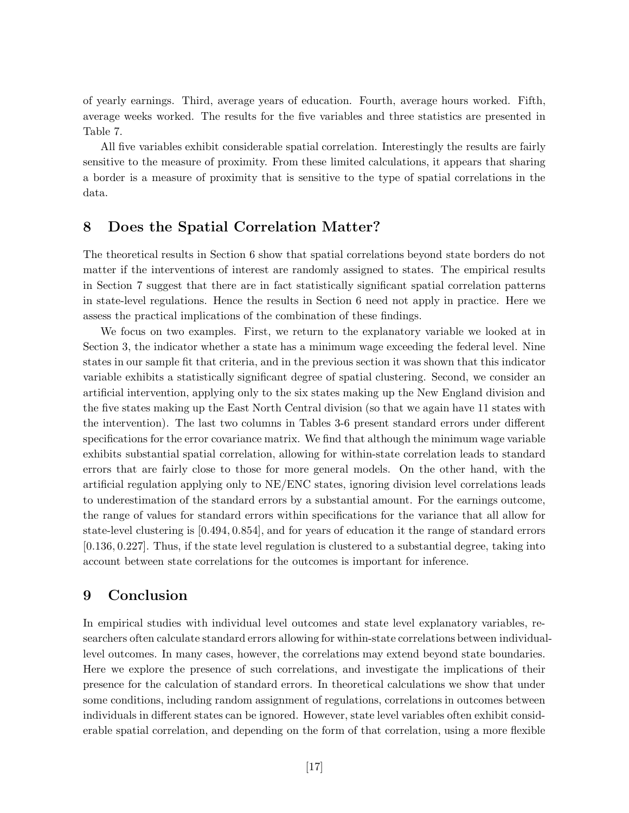of yearly earnings. Third, average years of education. Fourth, average hours worked. Fifth, average weeks worked. The results for the five variables and three statistics are presented in Table 7.

All five variables exhibit considerable spatial correlation. Interestingly the results are fairly sensitive to the measure of proximity. From these limited calculations, it appears that sharing a border is a measure of proximity that is sensitive to the type of spatial correlations in the data.

## 8 Does the Spatial Correlation Matter?

The theoretical results in Section 6 show that spatial correlations beyond state borders do not matter if the interventions of interest are randomly assigned to states. The empirical results in Section 7 suggest that there are in fact statistically significant spatial correlation patterns in state-level regulations. Hence the results in Section 6 need not apply in practice. Here we assess the practical implications of the combination of these findings.

We focus on two examples. First, we return to the explanatory variable we looked at in Section 3, the indicator whether a state has a minimum wage exceeding the federal level. Nine states in our sample fit that criteria, and in the previous section it was shown that this indicator variable exhibits a statistically significant degree of spatial clustering. Second, we consider an artificial intervention, applying only to the six states making up the New England division and the five states making up the East North Central division (so that we again have 11 states with the intervention). The last two columns in Tables 3-6 present standard errors under different specifications for the error covariance matrix. We find that although the minimum wage variable exhibits substantial spatial correlation, allowing for within-state correlation leads to standard errors that are fairly close to those for more general models. On the other hand, with the artificial regulation applying only to NE/ENC states, ignoring division level correlations leads to underestimation of the standard errors by a substantial amount. For the earnings outcome, the range of values for standard errors within specifications for the variance that all allow for state-level clustering is [0.494, 0.854], and for years of education it the range of standard errors [0.136, 0.227]. Thus, if the state level regulation is clustered to a substantial degree, taking into account between state correlations for the outcomes is important for inference.

## 9 Conclusion

In empirical studies with individual level outcomes and state level explanatory variables, researchers often calculate standard errors allowing for within-state correlations between individuallevel outcomes. In many cases, however, the correlations may extend beyond state boundaries. Here we explore the presence of such correlations, and investigate the implications of their presence for the calculation of standard errors. In theoretical calculations we show that under some conditions, including random assignment of regulations, correlations in outcomes between individuals in different states can be ignored. However, state level variables often exhibit considerable spatial correlation, and depending on the form of that correlation, using a more flexible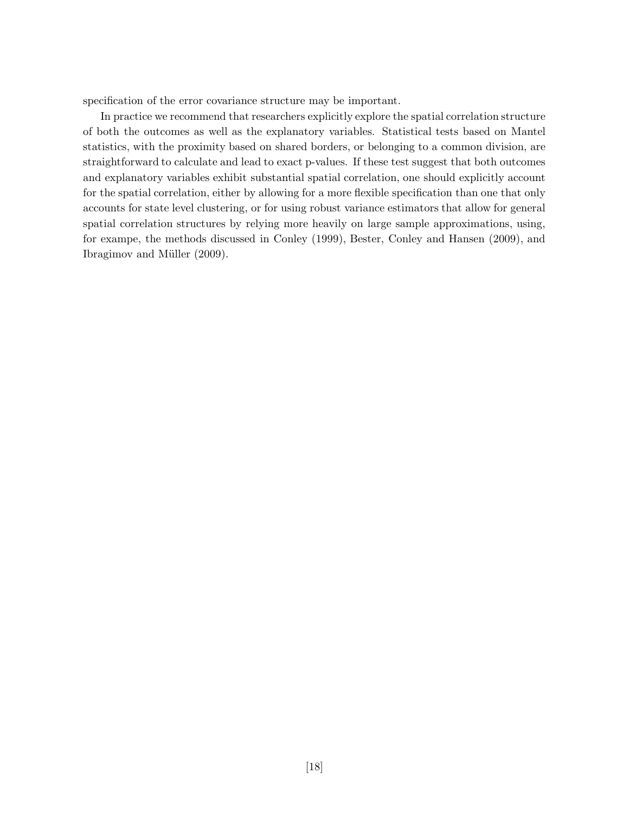specification of the error covariance structure may be important.

In practice we recommend that researchers explicitly explore the spatial correlation structure of both the outcomes as well as the explanatory variables. Statistical tests based on Mantel statistics, with the proximity based on shared borders, or belonging to a common division, are straightforward to calculate and lead to exact p-values. If these test suggest that both outcomes and explanatory variables exhibit substantial spatial correlation, one should explicitly account for the spatial correlation, either by allowing for a more flexible specification than one that only accounts for state level clustering, or for using robust variance estimators that allow for general spatial correlation structures by relying more heavily on large sample approximations, using, for exampe, the methods discussed in Conley (1999), Bester, Conley and Hansen (2009), and Ibragimov and Müller (2009).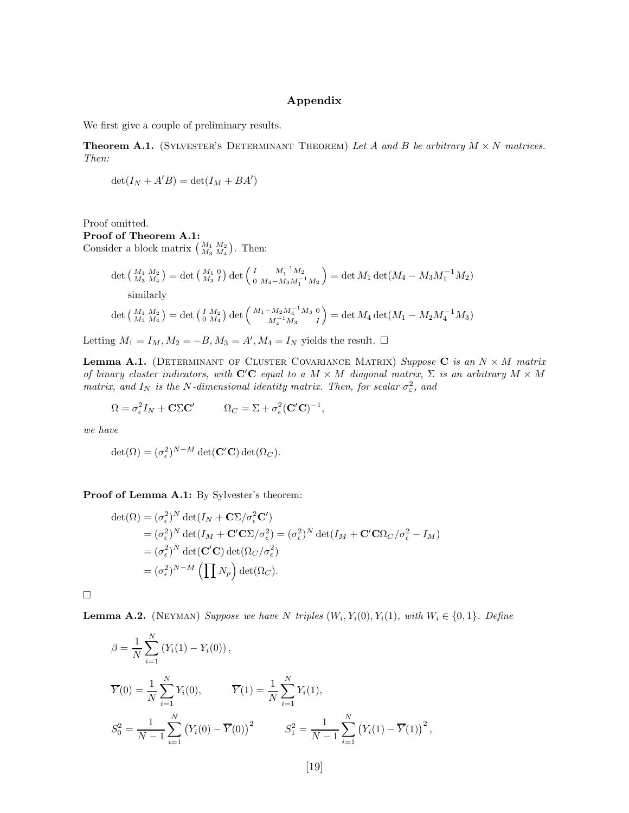### Appendix

We first give a couple of preliminary results.

**Theorem A.1.** (SYLVESTER'S DETERMINANT THEOREM) Let A and B be arbitrary  $M \times N$  matrices. Then:

$$
\det(I_N + A'B) = \det(I_M + BA')
$$

Proof omitted. Proof of Theorem A.1: Consider a block matrix  $\begin{pmatrix} M_1 & M_2 \ M_3 & M_4 \end{pmatrix}$ . Then:

$$
det\begin{pmatrix} M_1 & M_2 \ M_3 & M_4 \end{pmatrix} = det\begin{pmatrix} M_1 & 0 \ M_3 & I \end{pmatrix} det\begin{pmatrix} I & M_1^{-1}M_2 \ 0 & M_4 - M_3M_1^{-1}M_2 \end{pmatrix} = det M_1 det(M_4 - M_3M_1^{-1}M_2)
$$
  
similarly  

$$
det\begin{pmatrix} M_1 & M_2 \ M_3 & M_4 \end{pmatrix} = det\begin{pmatrix} I & M_2 \ M_4 & M_4^{-1}M_3 & 0 \ M_4^{-1}M_3 & I \end{pmatrix} = det M_4 det(M_1 - M_2M_4^{-1}M_3)
$$

Letting  $M_1 = I_M, M_2 = -B, M_3 = A', M_4 = I_N$  yields the result.  $\Box$ 

**Lemma A.1.** (DETERMINANT OF CLUSTER COVARIANCE MATRIX) Suppose C is an  $N \times M$  matrix of binary cluster indicators, with  $C'C$  equal to a  $M \times M$  diagonal matrix,  $\Sigma$  is an arbitrary  $M \times M$ matrix, and  $I_N$  is the N-dimensional identity matrix. Then, for scalar  $\sigma_{\varepsilon}^2$ , and

$$
\Omega = \sigma_{\epsilon}^2 I_N + \mathbf{C} \Sigma \mathbf{C}' \qquad \Omega_C = \Sigma + \sigma_{\epsilon}^2 (\mathbf{C}' \mathbf{C})^{-1},
$$

we have

$$
\det(\Omega) = (\sigma_{\epsilon}^2)^{N-M} \det(\mathbf{C}'\mathbf{C}) \det(\Omega_C).
$$

Proof of Lemma A.1: By Sylvester's theorem:

$$
\det(\Omega) = (\sigma_{\epsilon}^{2})^{N} \det(I_{N} + \mathbf{C}\Sigma/\sigma_{\epsilon}^{2}\mathbf{C}')
$$
  
\n
$$
= (\sigma_{\epsilon}^{2})^{N} \det(I_{M} + \mathbf{C}'\mathbf{C}\Sigma/\sigma_{\epsilon}^{2}) = (\sigma_{\epsilon}^{2})^{N} \det(I_{M} + \mathbf{C}'\mathbf{C}\Omega_{C}/\sigma_{\epsilon}^{2} - I_{M})
$$
  
\n
$$
= (\sigma_{\epsilon}^{2})^{N} \det(\mathbf{C}'\mathbf{C}) \det(\Omega_{C}/\sigma_{\epsilon}^{2})
$$
  
\n
$$
= (\sigma_{\epsilon}^{2})^{N-M} \left(\prod N_{p}\right) \det(\Omega_{C}).
$$

 $\Box$ 

**Lemma A.2.** (NEYMAN) Suppose we have N triples  $(W_i, Y_i(0), Y_i(1), \text{ with } W_i \in \{0, 1\}$ . Define

$$
\beta = \frac{1}{N} \sum_{i=1}^{N} (Y_i(1) - Y_i(0)),
$$
  
\n
$$
\overline{Y}(0) = \frac{1}{N} \sum_{i=1}^{N} Y_i(0), \qquad \overline{Y}(1) = \frac{1}{N} \sum_{i=1}^{N} Y_i(1),
$$
  
\n
$$
S_0^2 = \frac{1}{N-1} \sum_{i=1}^{N} (Y_i(0) - \overline{Y}(0))^2 \qquad S_1^2 = \frac{1}{N-1} \sum_{i=1}^{N} (Y_i(1) - \overline{Y}(1))^2,
$$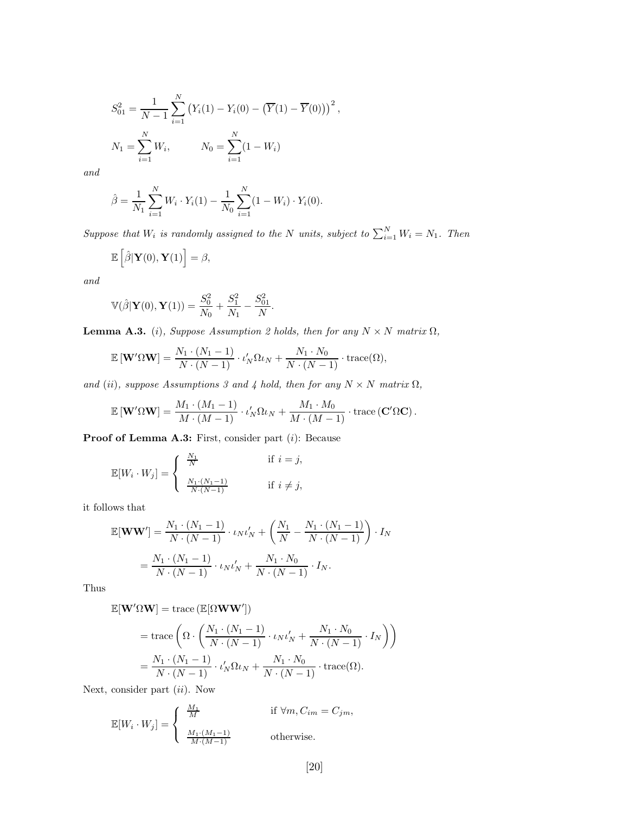$$
S_{01}^{2} = \frac{1}{N-1} \sum_{i=1}^{N} (Y_{i}(1) - Y_{i}(0) - (\overline{Y}(1) - \overline{Y}(0)))^{2},
$$
  

$$
N_{1} = \sum_{i=1}^{N} W_{i}, \qquad N_{0} = \sum_{i=1}^{N} (1 - W_{i})
$$

and

$$
\hat{\beta} = \frac{1}{N_1} \sum_{i=1}^{N} W_i \cdot Y_i(1) - \frac{1}{N_0} \sum_{i=1}^{N} (1 - W_i) \cdot Y_i(0).
$$

Suppose that  $W_i$  is randomly assigned to the N units, subject to  $\sum_{i=1}^{N} W_i = N_1$ . Then

$$
\mathbb{E}\left[\hat{\beta}|\mathbf{Y}(0),\mathbf{Y}(1)\right]=\beta,
$$

and

$$
\mathbb{V}(\hat{\beta}|\mathbf{Y}(0),\mathbf{Y}(1)) = \frac{S_0^2}{N_0} + \frac{S_1^2}{N_1} - \frac{S_{01}^2}{N}.
$$

**Lemma A.3.** (i), Suppose Assumption 2 holds, then for any  $N \times N$  matrix  $\Omega$ ,

$$
\mathbb{E}\left[\mathbf{W}'\Omega\mathbf{W}\right] = \frac{N_1 \cdot (N_1 - 1)}{N \cdot (N - 1)} \cdot \iota_N' \Omega \iota_N + \frac{N_1 \cdot N_0}{N \cdot (N - 1)} \cdot \text{trace}(\Omega),
$$

and (ii), suppose Assumptions 3 and 4 hold, then for any  $N \times N$  matrix  $\Omega$ ,

$$
\mathbb{E}[\mathbf{W}'\Omega\mathbf{W}] = \frac{M_1 \cdot (M_1 - 1)}{M \cdot (M - 1)} \cdot \iota'_N \Omega \iota_N + \frac{M_1 \cdot M_0}{M \cdot (M - 1)} \cdot \text{trace}(\mathbf{C}'\Omega\mathbf{C}).
$$

Proof of Lemma A.3: First, consider part (i): Because

$$
\mathbb{E}[W_i \cdot W_j] = \begin{cases} \begin{array}{ll} \frac{N_1}{N} & \text{if } i = j, \\ \frac{N_1 \cdot (N_1 - 1)}{N \cdot (N - 1)} & \text{if } i \neq j, \end{array} \end{cases}
$$

it follows that

$$
\mathbb{E}[\mathbf{WW'}] = \frac{N_1 \cdot (N_1 - 1)}{N \cdot (N - 1)} \cdot \iota_N \iota_N' + \left(\frac{N_1}{N} - \frac{N_1 \cdot (N_1 - 1)}{N \cdot (N - 1)}\right) \cdot I_N
$$
  
=  $\frac{N_1 \cdot (N_1 - 1)}{N \cdot (N - 1)} \cdot \iota_N \iota_N' + \frac{N_1 \cdot N_0}{N \cdot (N - 1)} \cdot I_N.$ 

Thus

$$
\mathbb{E}[\mathbf{W}'\Omega\mathbf{W}]=\mathrm{trace}\left(\mathbb{E}[\Omega\mathbf{W}\mathbf{W}']\right)
$$

$$
= \operatorname{trace}\left(\Omega \cdot \left(\frac{N_1 \cdot (N_1 - 1)}{N \cdot (N - 1)} \cdot \iota_N \iota_N' + \frac{N_1 \cdot N_0}{N \cdot (N - 1)} \cdot I_N\right)\right)
$$

$$
= \frac{N_1 \cdot (N_1 - 1)}{N \cdot (N - 1)} \cdot \iota_N' \Omega \iota_N + \frac{N_1 \cdot N_0}{N \cdot (N - 1)} \cdot \operatorname{trace}(\Omega).
$$

Next, consider part  $(ii)$ . Now

$$
\mathbb{E}[W_i \cdot W_j] = \begin{cases} \frac{M_1}{M} & \text{if } \forall m, C_{im} = C_{jm}, \\ \frac{M_1 \cdot (M_1 - 1)}{M \cdot (M - 1)} & \text{otherwise.} \end{cases}
$$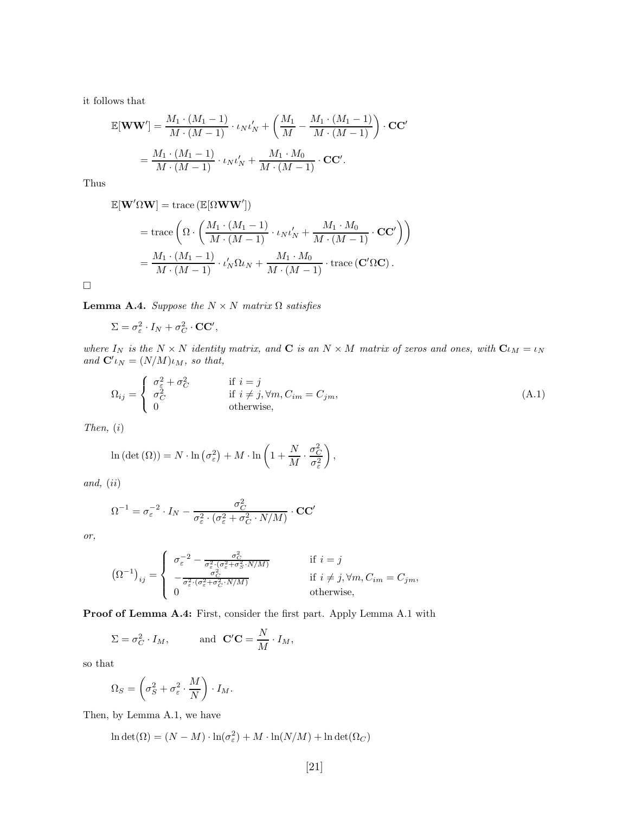it follows that

$$
\mathbb{E}[\mathbf{WW'}] = \frac{M_1 \cdot (M_1 - 1)}{M \cdot (M - 1)} \cdot \iota_N \iota'_N + \left(\frac{M_1}{M} - \frac{M_1 \cdot (M_1 - 1)}{M \cdot (M - 1)}\right) \cdot \mathbf{CC'}
$$

$$
= \frac{M_1 \cdot (M_1 - 1)}{M \cdot (M - 1)} \cdot \iota_N \iota'_N + \frac{M_1 \cdot M_0}{M \cdot (M - 1)} \cdot \mathbf{CC'}.
$$

Thus

$$
\mathbb{E}[\mathbf{W}'\Omega\mathbf{W}] = \text{trace} (\mathbb{E}[\Omega\mathbf{W}\mathbf{W}'])
$$
  
=\text{trace}\n
$$
\left(\Omega \cdot \left(\frac{M_1 \cdot (M_1 - 1)}{M \cdot (M - 1)} \cdot \iota_N \iota_N' + \frac{M_1 \cdot M_0}{M \cdot (M - 1)} \cdot \mathbf{CC}'\right)\right)
$$
  
=\n
$$
\frac{M_1 \cdot (M_1 - 1)}{M \cdot (M - 1)} \cdot \iota_N' \Omega \iota_N + \frac{M_1 \cdot M_0}{M \cdot (M - 1)} \cdot \text{trace} (\mathbf{C}' \Omega \mathbf{C}).
$$

 $\Box$ 

**Lemma A.4.** Suppose the  $N \times N$  matrix  $\Omega$  satisfies

$$
\Sigma = \sigma_{\varepsilon}^2 \cdot I_N + \sigma_C^2 \cdot \mathbf{CC}',
$$

where  $I_N$  is the  $N \times N$  identity matrix, and **C** is an  $N \times M$  matrix of zeros and ones, with  $C_{iM} = i_N$ and  ${\bf C'}_{lN} = (N/M)\iota_M$ , so that,

$$
\Omega_{ij} = \begin{cases}\n\sigma_{\varepsilon}^{2} + \sigma_{C}^{2} & \text{if } i = j \\
\sigma_{C}^{2} & \text{if } i \neq j, \forall m, C_{im} = C_{jm}, \\
0 & \text{otherwise,} \n\end{cases}
$$
\n(A.1)

 $\big)$ 

Then, (i)

$$
\ln\left(\det\left(\Omega\right)\right) = N \cdot \ln\left(\sigma_{\varepsilon}^{2}\right) + M \cdot \ln\left(1 + \frac{N}{M} \cdot \frac{\sigma_{C}^{2}}{\sigma_{\varepsilon}^{2}}\right),
$$

and, (ii)

$$
\Omega^{-1} = \sigma_{\varepsilon}^{-2} \cdot I_N - \frac{\sigma_C^2}{\sigma_{\varepsilon}^2 \cdot (\sigma_{\varepsilon}^2 + \sigma_C^2 \cdot N/M)} \cdot \mathbf{CC'}
$$

or,

$$
\left(\Omega^{-1}\right)_{ij} = \begin{cases} \sigma_{\varepsilon}^{-2} - \frac{\sigma_C^2}{\sigma_{\varepsilon}^2 \cdot (\sigma_{\varepsilon}^2 + \sigma_S^2 \cdot N/M)} & \text{if } i = j \\ -\frac{\sigma_C^2}{\sigma_{\varepsilon}^2 \cdot (\sigma_{\varepsilon}^2 + \sigma_C^2 \cdot N/M)} & \text{if } i \neq j, \forall m, C_{im} = C_{jm}, \\ 0 & \text{otherwise}, \end{cases}
$$

Proof of Lemma A.4: First, consider the first part. Apply Lemma A.1 with

$$
\Sigma = \sigma_C^2 \cdot I_M, \quad \text{and} \quad \mathbf{C}'\mathbf{C} = \frac{N}{M} \cdot I_M,
$$

so that

$$
\Omega_S = \left(\sigma_S^2 + \sigma_\varepsilon^2 \cdot \frac{M}{N}\right) \cdot I_M.
$$

Then, by Lemma A.1, we have

$$
\ln \det(\Omega) = (N - M) \cdot \ln(\sigma_{\varepsilon}^2) + M \cdot \ln(N/M) + \ln \det(\Omega_C)
$$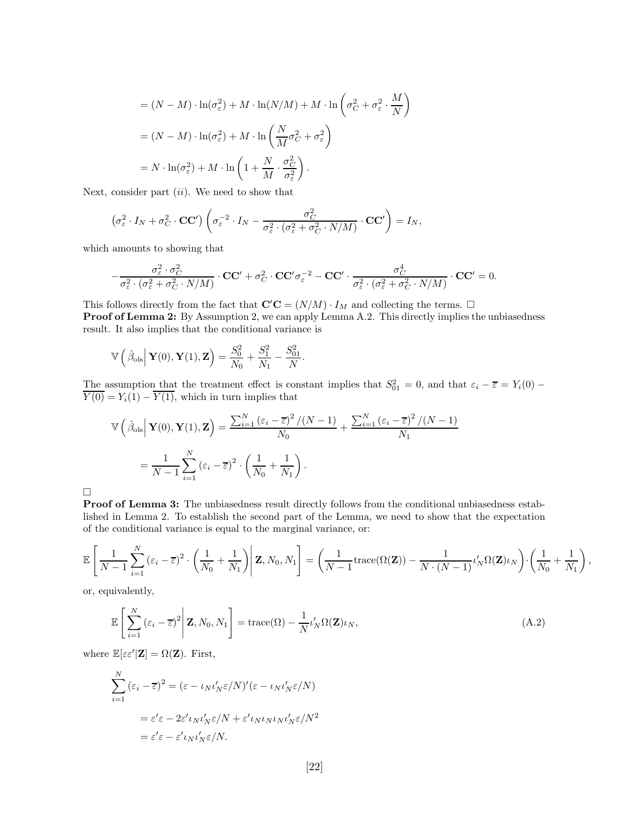$$
= (N - M) \cdot \ln(\sigma_{\varepsilon}^{2}) + M \cdot \ln(N/M) + M \cdot \ln\left(\sigma_{C}^{2} + \sigma_{\varepsilon}^{2} \cdot \frac{M}{N}\right)
$$

$$
= (N - M) \cdot \ln(\sigma_{\varepsilon}^{2}) + M \cdot \ln\left(\frac{N}{M}\sigma_{C}^{2} + \sigma_{\varepsilon}^{2}\right)
$$

$$
= N \cdot \ln(\sigma_{\varepsilon}^{2}) + M \cdot \ln\left(1 + \frac{N}{M} \cdot \frac{\sigma_{C}^{2}}{\sigma_{\varepsilon}^{2}}\right).
$$

Next, consider part  $(ii)$ . We need to show that

$$
\left(\sigma_{\varepsilon}^{2}\cdot I_{N}+\sigma_{C}^{2}\cdot \mathbf{CC}'\right)\left(\sigma_{\varepsilon}^{-2}\cdot I_{N}-\frac{\sigma_{C}^{2}}{\sigma_{\varepsilon}^{2}\cdot(\sigma_{\varepsilon}^{2}+\sigma_{C}^{2}\cdot N/M)}\cdot \mathbf{CC}'\right)=I_{N},
$$

which amounts to showing that

$$
-\frac{\sigma_{\varepsilon}^2\cdot \sigma_C^2}{\sigma_{\varepsilon}^2\cdot (\sigma_{\varepsilon}^2+\sigma_C^2\cdot N/M)}\cdot \mathbf{CC'} + \sigma_C^2\cdot \mathbf{CC'}\sigma_{\varepsilon}^{-2} - \mathbf{CC'}\cdot \frac{\sigma_C^4}{\sigma_{\varepsilon}^2\cdot (\sigma_{\varepsilon}^2+\sigma_C^2\cdot N/M)}\cdot \mathbf{CC'} = 0.
$$

This follows directly from the fact that  $\mathbf{C}'\mathbf{C} = (N/M) \cdot I_M$  and collecting the terms.  $\Box$ Proof of Lemma 2: By Assumption 2, we can apply Lemma A.2. This directly implies the unbiasedness result. It also implies that the conditional variance is

$$
\mathbb{V}\left(\hat{\beta}_{ols} \middle| \mathbf{Y}(0), \mathbf{Y}(1), \mathbf{Z}\right) = \frac{S_0^2}{N_0} + \frac{S_1^2}{N_1} - \frac{S_{01}^2}{N}.
$$

The assumption that the treatment effect is constant implies that  $S_{01}^2 = 0$ , and that  $\varepsilon_i - \overline{\varepsilon} = Y_i(0) \overline{Y(0)} = Y_i(1) - \overline{Y(1)}$ , which in turn implies that

$$
\mathbb{V}\left(\hat{\beta}_{\text{ols}}\Big|\mathbf{Y}(0),\mathbf{Y}(1),\mathbf{Z}\right) = \frac{\sum_{i=1}^{N}\left(\varepsilon_{i}-\overline{\varepsilon}\right)^{2}/(N-1)}{N_{0}} + \frac{\sum_{i=1}^{N}\left(\varepsilon_{i}-\overline{\varepsilon}\right)^{2}/(N-1)}{N_{1}}
$$

$$
= \frac{1}{N-1}\sum_{i=1}^{N}\left(\varepsilon_{i}-\overline{\varepsilon}\right)^{2}\cdot\left(\frac{1}{N_{0}}+\frac{1}{N_{1}}\right).
$$

 $\Box$ 

Proof of Lemma 3: The unbiasedness result directly follows from the conditional unbiasedness established in Lemma 2. To establish the second part of the Lemma, we need to show that the expectation of the conditional variance is equal to the marginal variance, or:

$$
\mathbb{E}\left[\frac{1}{N-1}\sum_{i=1}^{N}\left(\varepsilon_{i}-\overline{\varepsilon}\right)^{2}\cdot\left(\frac{1}{N_{0}}+\frac{1}{N_{1}}\right)\middle|\mathbf{Z},N_{0},N_{1}\right]=\left(\frac{1}{N-1}\mathrm{trace}(\Omega(\mathbf{Z}))-\frac{1}{N\cdot\left(N-1\right)}\iota_{N}'\Omega(\mathbf{Z})\iota_{N}\right)\cdot\left(\frac{1}{N_{0}}+\frac{1}{N_{1}}\right),
$$

or, equivalently,

$$
\mathbb{E}\left[\sum_{i=1}^{N}\left(\varepsilon_{i}-\overline{\varepsilon}\right)^{2}\middle|\mathbf{Z},N_{0},N_{1}\right]=\text{trace}(\Omega)-\frac{1}{N}\iota_{N}'\Omega(\mathbf{Z})\iota_{N},\tag{A.2}
$$

where  $\mathbb{E}[\varepsilon \varepsilon' | \mathbf{Z}] = \Omega(\mathbf{Z})$ . First,

$$
\sum_{i=1}^{N} (\varepsilon_{i} - \overline{\varepsilon})^{2} = (\varepsilon - \iota_{N} \iota_{N}' \varepsilon / N)'(\varepsilon - \iota_{N} \iota_{N}' \varepsilon / N)
$$

$$
= \varepsilon' \varepsilon - 2\varepsilon' \iota_{N} \iota_{N}' \varepsilon / N + \varepsilon' \iota_{N} \iota_{N} \iota_{N} \iota_{N}' \varepsilon / N^{2}
$$

$$
= \varepsilon' \varepsilon - \varepsilon' \iota_{N} \iota_{N}' \varepsilon / N.
$$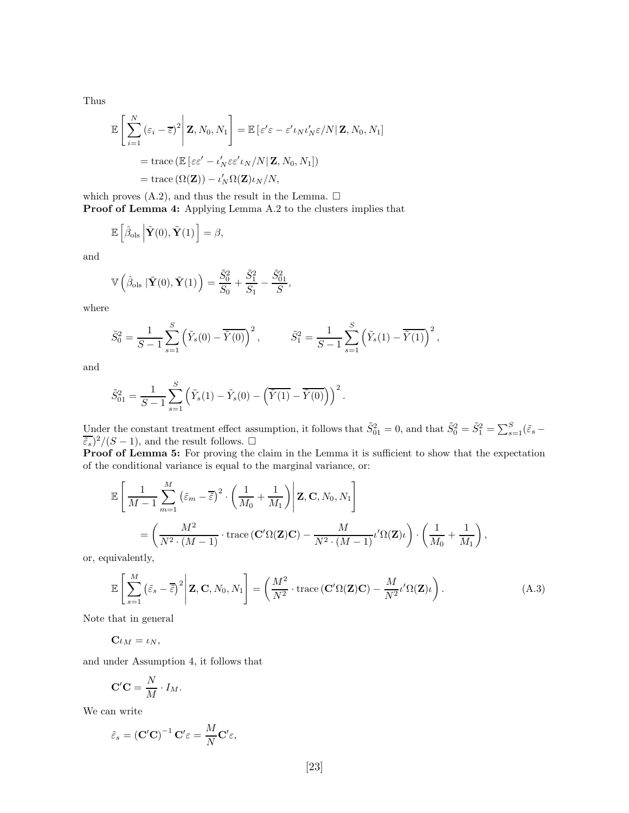Thus

$$
\mathbb{E}\left[\sum_{i=1}^{N}(\varepsilon_{i}-\overline{\varepsilon})^{2}\bigg|\mathbf{Z},N_{0},N_{1}\right]=\mathbb{E}\left[\varepsilon'\varepsilon-\varepsilon' \iota_{N}\iota'_{N}\varepsilon/N|\mathbf{Z},N_{0},N_{1}\right]
$$

$$
= \text{trace}\left(\mathbb{E}\left[\varepsilon\varepsilon'-\iota'_{N}\varepsilon\varepsilon'\iota_{N}/N|\mathbf{Z},N_{0},N_{1}\right]\right)
$$

$$
= \text{trace}\left(\Omega(\mathbf{Z})\right)-\iota'_{N}\Omega(\mathbf{Z})\iota_{N}/N,
$$

which proves  $(A.2)$ , and thus the result in the Lemma.  $\square$ Proof of Lemma 4: Applying Lemma A.2 to the clusters implies that

$$
\mathbb{E}\left[\hat{\beta}_{\text{ols}}\left|\tilde{\mathbf{Y}}(0),\tilde{\mathbf{Y}}(1)\right.\right]=\beta,
$$

and

$$
\mathbb{V}\left(\hat{\beta}_{\text{ols}}\,|\,\tilde{\mathbf{Y}}(0),\tilde{\mathbf{Y}}(1)\right) = \frac{\tilde{S}_0^2}{S_0} + \frac{\tilde{S}_1^2}{S_1} - \frac{\tilde{S}_{01}^2}{S},
$$

where

$$
\tilde{S}_0^2 = \frac{1}{S-1} \sum_{s=1}^S \left( \tilde{Y}_s(0) - \tilde{\tilde{Y}}(0) \right)^2, \qquad \tilde{S}_1^2 = \frac{1}{S-1} \sum_{s=1}^S \left( \tilde{Y}_s(1) - \tilde{\tilde{Y}}(1) \right)^2,
$$

and

$$
\tilde{S}_{01}^2 = \frac{1}{S-1} \sum_{s=1}^S \left( \tilde{Y}_s(1) - \tilde{Y}_s(0) - \left( \overline{\tilde{Y}(1)} - \overline{\tilde{Y}(0)} \right) \right)^2.
$$

Under the constant treatment effect assumption, it follows that  $\tilde{S}_{01}^2 = 0$ , and that  $\tilde{S}_0^2 = \tilde{S}_1^2 = \sum_{s=1}^S (\tilde{\varepsilon}_s \frac{\widetilde{\varepsilon_s}}{2}/(S-1)$ , and the result follows.  $\Box$ 

Proof of Lemma 5: For proving the claim in the Lemma it is sufficient to show that the expectation of the conditional variance is equal to the marginal variance, or:

$$
\mathbb{E}\left[\frac{1}{M-1}\sum_{m=1}^{M} (\tilde{\varepsilon}_m - \overline{\tilde{\varepsilon}})^2 \cdot \left(\frac{1}{M_0} + \frac{1}{M_1}\right) \middle| \mathbf{Z}, \mathbf{C}, N_0, N_1\right] \n= \left(\frac{M^2}{N^2 \cdot (M-1)} \cdot \text{trace}\left(\mathbf{C}'\Omega(\mathbf{Z})\mathbf{C}\right) - \frac{M}{N^2 \cdot (M-1)} \iota'\Omega(\mathbf{Z})\iota\right) \cdot \left(\frac{1}{M_0} + \frac{1}{M_1}\right),
$$

or, equivalently,

$$
\mathbb{E}\left[\sum_{s=1}^{M} \left(\tilde{\varepsilon}_{s} - \overline{\tilde{\varepsilon}}\right)^{2} \middle| \mathbf{Z}, \mathbf{C}, N_{0}, N_{1}\right] = \left(\frac{M^{2}}{N^{2}} \cdot \text{trace}\left(\mathbf{C}^{\prime}\Omega(\mathbf{Z})\mathbf{C}\right) - \frac{M}{N^{2}}\iota^{\prime}\Omega(\mathbf{Z})\iota\right).
$$
\n(A.3)

Note that in general

 $\mathbf{C}\iota_M = \iota_N,$ 

and under Assumption 4, it follows that

$$
\mathbf{C}'\mathbf{C} = \frac{N}{M} \cdot I_M.
$$

We can write

$$
\tilde{\varepsilon}_s = \left(\mathbf{C}'\mathbf{C}\right)^{-1}\mathbf{C}'\varepsilon = \frac{M}{N}\mathbf{C}'\varepsilon,
$$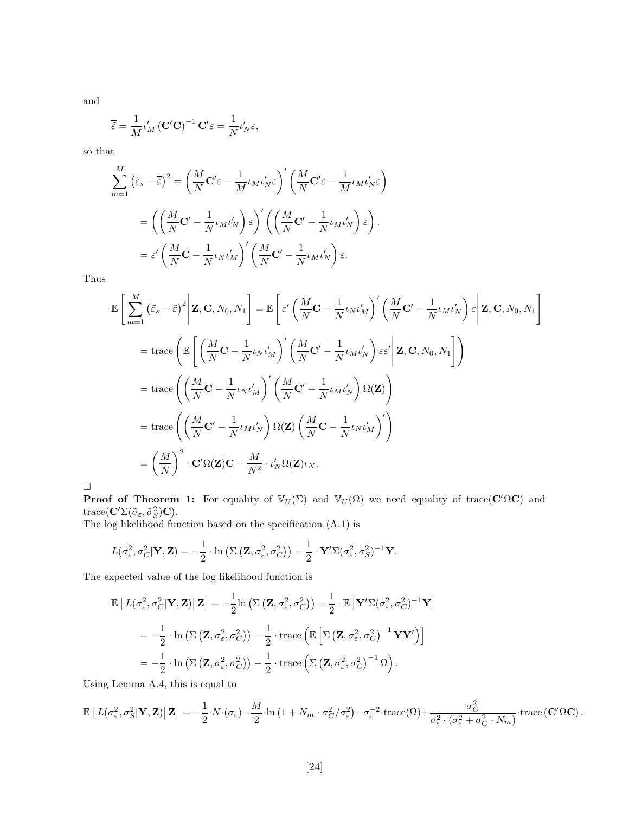and

$$
\overline{\tilde{\varepsilon}} = \frac{1}{M} \iota_M' \left( \mathbf{C}'\mathbf{C} \right)^{-1} \mathbf{C}' \varepsilon = \frac{1}{N} \iota_N' \varepsilon,
$$

so that

$$
\sum_{m=1}^{M} (\tilde{\varepsilon}_{s} - \overline{\tilde{\varepsilon}})^{2} = \left(\frac{M}{N} \mathbf{C}' \varepsilon - \frac{1}{M} \iota_{M} \iota_{N}' \varepsilon\right)' \left(\frac{M}{N} \mathbf{C}' \varepsilon - \frac{1}{M} \iota_{M} \iota_{N}' \varepsilon\right)
$$

$$
= \left(\left(\frac{M}{N} \mathbf{C}' - \frac{1}{N} \iota_{M} \iota_{N}'\right) \varepsilon\right)' \left(\left(\frac{M}{N} \mathbf{C}' - \frac{1}{N} \iota_{M} \iota_{N}'\right) \varepsilon\right).
$$

$$
= \varepsilon' \left(\frac{M}{N} \mathbf{C} - \frac{1}{N} \iota_{N} \iota_{M}'\right)' \left(\frac{M}{N} \mathbf{C}' - \frac{1}{N} \iota_{M} \iota_{N}'\right) \varepsilon.
$$

Thus

$$
\mathbb{E}\left[\sum_{m=1}^{M} \left(\tilde{\varepsilon}_{s} - \overline{\tilde{\varepsilon}}\right)^{2} \middle| \mathbf{Z}, \mathbf{C}, N_{0}, N_{1}\right] = \mathbb{E}\left[\varepsilon'\left(\frac{M}{N}\mathbf{C} - \frac{1}{N}\iota_{N}\iota'_{M}\right)'\left(\frac{M}{N}\mathbf{C}' - \frac{1}{N}\iota_{M}\iota'_{N}\right)\varepsilon\middle| \mathbf{Z}, \mathbf{C}, N_{0}, N_{1}\right]
$$
\n
$$
= \operatorname{trace}\left(\mathbb{E}\left[\left(\frac{M}{N}\mathbf{C} - \frac{1}{N}\iota_{N}\iota'_{M}\right)'\left(\frac{M}{N}\mathbf{C}' - \frac{1}{N}\iota_{M}\iota'_{N}\right)\varepsilon\varepsilon'\middle| \mathbf{Z}, \mathbf{C}, N_{0}, N_{1}\right]\right)
$$
\n
$$
= \operatorname{trace}\left(\left(\frac{M}{N}\mathbf{C} - \frac{1}{N}\iota_{N}\iota'_{M}\right)'\left(\frac{M}{N}\mathbf{C}' - \frac{1}{N}\iota_{M}\iota'_{N}\right)\Omega(\mathbf{Z})\right)
$$
\n
$$
= \operatorname{trace}\left(\left(\frac{M}{N}\mathbf{C}' - \frac{1}{N}\iota_{M}\iota'_{N}\right)\Omega(\mathbf{Z})\left(\frac{M}{N}\mathbf{C} - \frac{1}{N}\iota_{N}\iota'_{M}\right)'\right)
$$
\n
$$
= \left(\frac{M}{N}\right)^{2} \cdot \mathbf{C}'\Omega(\mathbf{Z})\mathbf{C} - \frac{M}{N^{2}} \cdot \iota'_{N}\Omega(\mathbf{Z})\iota_{N}.
$$

 $\Box$ 

**Proof of Theorem 1:** For equality of  $\mathbb{V}_U(\Sigma)$  and  $\mathbb{V}_U(\Omega)$  we need equality of trace( $\mathbf{C}'\Omega\mathbf{C}$ ) and trace( $\mathbf{C}'\Sigma(\tilde{\sigma}_{\varepsilon},\tilde{\sigma}_{S}^{2})\mathbf{C}$ ).

The log likelihood function based on the specification (A.1) is

$$
L(\sigma_{\varepsilon}^2, \sigma_C^2 | \mathbf{Y}, \mathbf{Z}) = -\frac{1}{2} \cdot \ln \left( \Sigma \left( \mathbf{Z}, \sigma_{\varepsilon}^2, \sigma_C^2 \right) \right) - \frac{1}{2} \cdot \mathbf{Y}' \Sigma (\sigma_{\varepsilon}^2, \sigma_S^2)^{-1} \mathbf{Y}.
$$

The expected value of the log likelihood function is

$$
\mathbb{E}\left[L(\sigma_{\varepsilon}^{2},\sigma_{C}^{2}|\mathbf{Y},\mathbf{Z})|\mathbf{Z}\right]=-\frac{1}{2}\ln\left(\Sigma\left(\mathbf{Z},\sigma_{\varepsilon}^{2},\sigma_{C}^{2}\right)\right)-\frac{1}{2}\cdot\mathbb{E}\left[\mathbf{Y}'\Sigma(\sigma_{\varepsilon}^{2},\sigma_{C}^{2})^{-1}\mathbf{Y}\right]
$$
\n
$$
=-\frac{1}{2}\cdot\ln\left(\Sigma\left(\mathbf{Z},\sigma_{\varepsilon}^{2},\sigma_{C}^{2}\right)\right)-\frac{1}{2}\cdot\text{trace}\left(\mathbb{E}\left[\Sigma\left(\mathbf{Z},\sigma_{\varepsilon}^{2},\sigma_{C}^{2}\right)^{-1}\mathbf{Y}\mathbf{Y}'\right)\right]
$$
\n
$$
=-\frac{1}{2}\cdot\ln\left(\Sigma\left(\mathbf{Z},\sigma_{\varepsilon}^{2},\sigma_{C}^{2}\right)\right)-\frac{1}{2}\cdot\text{trace}\left(\Sigma\left(\mathbf{Z},\sigma_{\varepsilon}^{2},\sigma_{C}^{2}\right)^{-1}\Omega\right).
$$

Using Lemma A.4, this is equal to

$$
\mathbb{E}\left[L(\sigma_{\varepsilon}^{2},\sigma_{S}^{2}|\mathbf{Y},\mathbf{Z})|\mathbf{Z}\right]=-\frac{1}{2}\cdot N\cdot(\sigma_{\varepsilon})-\frac{M}{2}\cdot \ln\left(1+N_{m}\cdot\sigma_{C}^{2}/\sigma_{\varepsilon}^{2}\right)-\sigma_{\varepsilon}^{-2}\cdot\text{trace}(\Omega)+\frac{\sigma_{C}^{2}}{\sigma_{\varepsilon}^{2}\cdot(\sigma_{\varepsilon}^{2}+\sigma_{C}^{2}\cdot N_{m})}\cdot\text{trace}\left(\mathbf{C}'\Omega\mathbf{C}\right).
$$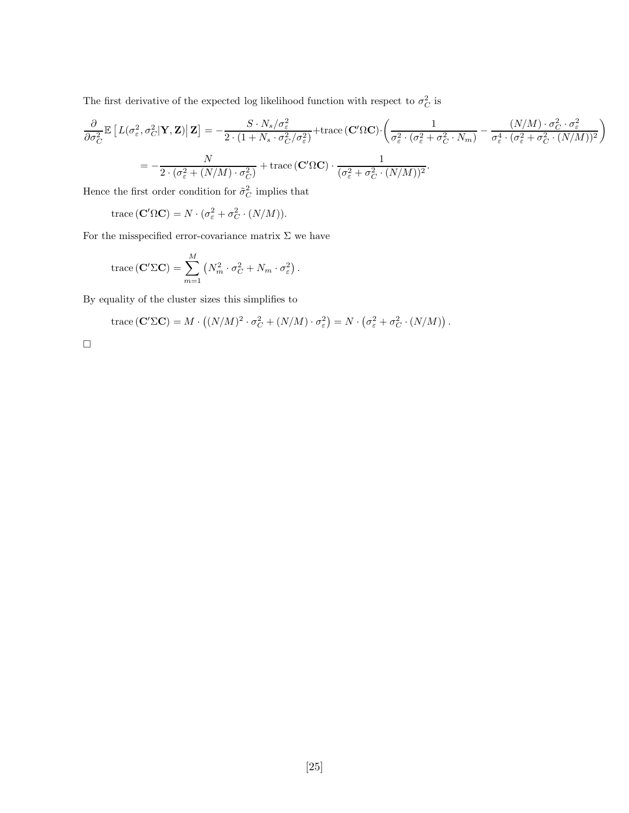The first derivative of the expected log likelihood function with respect to  $\sigma_C^2$  is

$$
\frac{\partial}{\partial \sigma_C^2} \mathbb{E} \left[ L(\sigma_{\varepsilon}^2, \sigma_C^2 | \mathbf{Y}, \mathbf{Z}) | \mathbf{Z} \right] = -\frac{S \cdot N_s / \sigma_{\varepsilon}^2}{2 \cdot (1 + N_s \cdot \sigma_C^2 / \sigma_{\varepsilon}^2)} + \text{trace} \left( \mathbf{C}' \Omega \mathbf{C} \right) \cdot \left( \frac{1}{\sigma_{\varepsilon}^2 \cdot (\sigma_{\varepsilon}^2 + \sigma_C^2 \cdot N_m)} - \frac{(N/M) \cdot \sigma_C^2 \cdot \sigma_{\varepsilon}^2}{\sigma_{\varepsilon}^4 \cdot (\sigma_{\varepsilon}^2 + \sigma_C^2 \cdot (N/M))^2} \right)
$$
\n
$$
= -\frac{N}{2 \cdot (\sigma_{\varepsilon}^2 + (N/M) \cdot \sigma_C^2)} + \text{trace} \left( \mathbf{C}' \Omega \mathbf{C} \right) \cdot \frac{1}{(\sigma_{\varepsilon}^2 + \sigma_C^2 \cdot (N/M))^2}.
$$

Hence the first order condition for  $\tilde{\sigma}_C^2$  implies that

trace  $(\mathbf{C}'\Omega\mathbf{C}) = N \cdot (\sigma_{\varepsilon}^2 + \sigma_C^2 \cdot (N/M)).$ 

For the misspecified error-covariance matrix  $\Sigma$  we have

trace 
$$
(\mathbf{C}'\Sigma\mathbf{C}) = \sum_{m=1}^{M} (N_m^2 \cdot \sigma_C^2 + N_m \cdot \sigma_{\varepsilon}^2).
$$

By equality of the cluster sizes this simplifies to

trace 
$$
(\mathbf{C}'\Sigma\mathbf{C}) = M \cdot ((N/M)^2 \cdot \sigma_C^2 + (N/M) \cdot \sigma_{\varepsilon}^2) = N \cdot (\sigma_{\varepsilon}^2 + \sigma_C^2 \cdot (N/M)).
$$

 $\Box$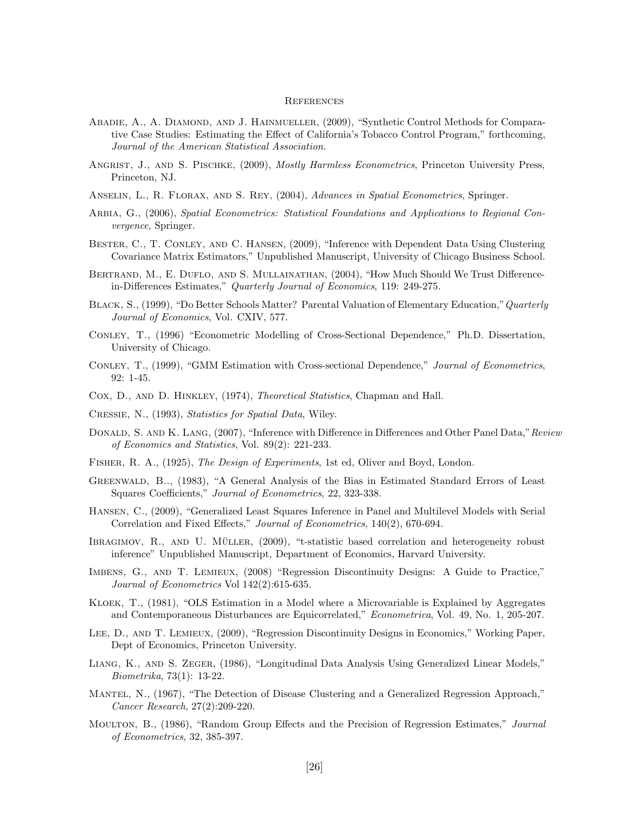#### **REFERENCES**

- ABADIE, A., A. DIAMOND, AND J. HAINMUELLER, (2009), "Synthetic Control Methods for Comparative Case Studies: Estimating the Effect of California's Tobacco Control Program," forthcoming, Journal of the American Statistical Association.
- ANGRIST, J., AND S. PISCHKE, (2009), *Mostly Harmless Econometrics*, Princeton University Press, Princeton, NJ.
- ANSELIN, L., R. FLORAX, AND S. REY, (2004), Advances in Spatial Econometrics, Springer.
- ARBIA, G., (2006), Spatial Econometrics: Statistical Foundations and Applications to Regional Convergence, Springer.
- Bester, C., T. Conley, and C. Hansen, (2009), "Inference with Dependent Data Using Clustering Covariance Matrix Estimators," Unpublished Manuscript, University of Chicago Business School.
- BERTRAND, M., E. DUFLO, AND S. MULLAINATHAN, (2004), "How Much Should We Trust Differencein-Differences Estimates," Quarterly Journal of Economics, 119: 249-275.
- Black, S., (1999), "Do Better Schools Matter? Parental Valuation of Elementary Education,"Quarterly Journal of Economics, Vol. CXIV, 577.
- Conley, T., (1996) "Econometric Modelling of Cross-Sectional Dependence," Ph.D. Dissertation, University of Chicago.
- Conley, T., (1999), "GMM Estimation with Cross-sectional Dependence," Journal of Econometrics, 92: 1-45.
- Cox, D., and D. Hinkley, (1974), Theoretical Statistics, Chapman and Hall.
- Cressie, N., (1993), Statistics for Spatial Data, Wiley.
- DONALD, S. AND K. LANG, (2007), "Inference with Difference in Differences and Other Panel Data," Review of Economics and Statistics, Vol. 89(2): 221-233.
- Fisher, R. A., (1925), The Design of Experiments, 1st ed, Oliver and Boyd, London.
- Greenwald, B.., (1983), "A General Analysis of the Bias in Estimated Standard Errors of Least Squares Coefficients," Journal of Econometrics, 22, 323-338.
- Hansen, C., (2009), "Generalized Least Squares Inference in Panel and Multilevel Models with Serial Correlation and Fixed Effects," Journal of Econometrics, 140(2), 670-694.
- IBRAGIMOV, R., AND U. MÜLLER, (2009), "t-statistic based correlation and heterogeneity robust inference" Unpublished Manuscript, Department of Economics, Harvard University.
- Imbens, G., and T. Lemieux, (2008) "Regression Discontinuity Designs: A Guide to Practice," Journal of Econometrics Vol 142(2):615-635.
- Kloek, T., (1981), "OLS Estimation in a Model where a Microvariable is Explained by Aggregates and Contemporaneous Disturbances are Equicorrelated," Econometrica, Vol. 49, No. 1, 205-207.
- Lee, D., and T. Lemieux, (2009), "Regression Discontinuity Designs in Economics," Working Paper, Dept of Economics, Princeton University.
- Liang, K., and S. Zeger, (1986), "Longitudinal Data Analysis Using Generalized Linear Models," Biometrika, 73(1): 13-22.
- Mantel, N., (1967), "The Detection of Disease Clustering and a Generalized Regression Approach," Cancer Research, 27(2):209-220.
- Moultron, B., (1986), "Random Group Effects and the Precision of Regression Estimates," Journal of Econometrics, 32, 385-397.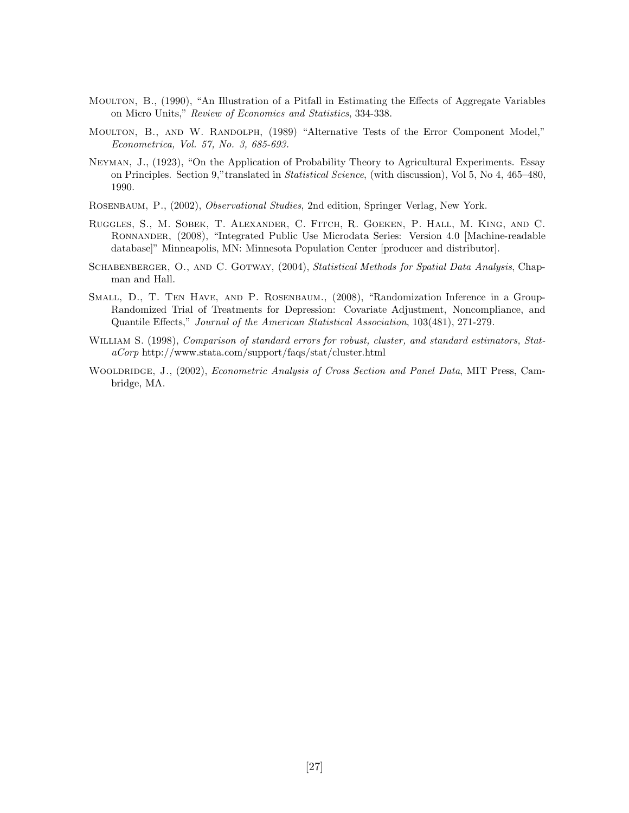- Moulton, B., (1990), "An Illustration of a Pitfall in Estimating the Effects of Aggregate Variables on Micro Units," Review of Economics and Statistics, 334-338.
- MOULTON, B., AND W. RANDOLPH, (1989) "Alternative Tests of the Error Component Model," Econometrica, Vol. 57, No. 3, 685-693.
- Neyman, J., (1923), "On the Application of Probability Theory to Agricultural Experiments. Essay on Principles. Section 9,"translated in Statistical Science, (with discussion), Vol 5, No 4, 465–480, 1990.
- Rosenbaum, P., (2002), Observational Studies, 2nd edition, Springer Verlag, New York.
- Ruggles, S., M. Sobek, T. Alexander, C. Fitch, R. Goeken, P. Hall, M. King, and C. Ronnander, (2008), "Integrated Public Use Microdata Series: Version 4.0 [Machine-readable database]" Minneapolis, MN: Minnesota Population Center [producer and distributor].
- SCHABENBERGER, O., AND C. GOTWAY, (2004), Statistical Methods for Spatial Data Analysis, Chapman and Hall.
- Small, D., T. Ten Have, and P. Rosenbaum., (2008), "Randomization Inference in a Group-Randomized Trial of Treatments for Depression: Covariate Adjustment, Noncompliance, and Quantile Effects," Journal of the American Statistical Association, 103(481), 271-279.
- WILLIAM S. (1998), *Comparison of standard errors for robust, cluster, and standard estimators, Stat*aCorp http://www.stata.com/support/faqs/stat/cluster.html
- WOOLDRIDGE, J., (2002), *Econometric Analysis of Cross Section and Panel Data*, MIT Press, Cambridge, MA.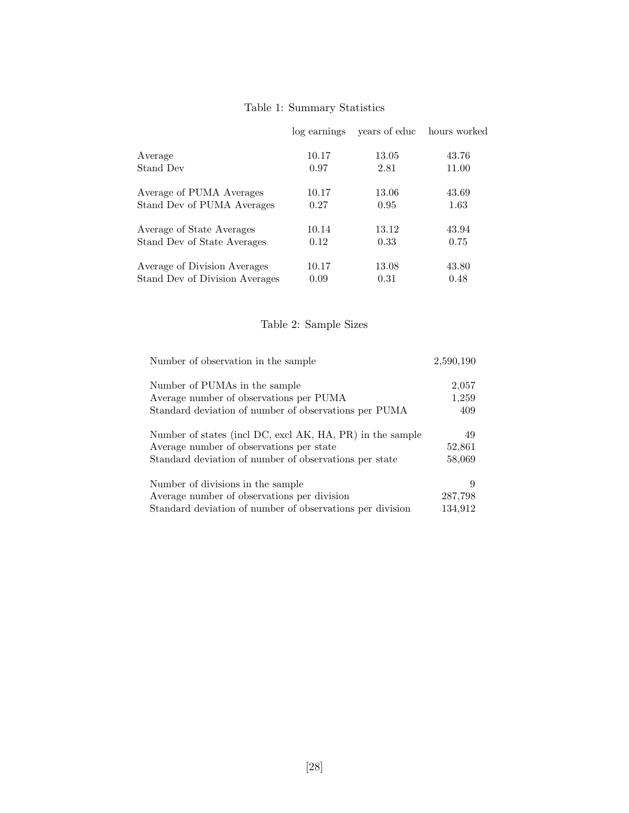## Table 1: Summary Statistics

|                                | log earnings | years of educ | hours worked |
|--------------------------------|--------------|---------------|--------------|
| Average                        | 10.17        | 13.05         | 43.76        |
| Stand Dev                      | 0.97         | 2.81          | 11.00        |
| Average of PUMA Averages       | 10.17        | 13.06         | 43.69        |
| Stand Dev of PUMA Averages     | 0.27         | 0.95          | 1.63         |
| Average of State Averages      | 10.14        | 13.12         | 43.94        |
| Stand Dev of State Averages    | 0.12         | 0.33          | 0.75         |
| Average of Division Averages   | 10.17        | 13.08         | 43.80        |
| Stand Dev of Division Averages | 0.09         | 0.31          | 0.48         |

## Table 2: Sample Sizes

| Number of observation in the sample                       | 2,590,190 |
|-----------------------------------------------------------|-----------|
| Number of PUMAs in the sample                             | 2,057     |
| Average number of observations per PUMA                   | 1,259     |
| Standard deviation of number of observations per PUMA     | 409       |
| Number of states (incl DC, excl AK, HA, PR) in the sample | 49        |
| Average number of observations per state                  | 52,861    |
| Standard deviation of number of observations per state    | 58,069    |
| Number of divisions in the sample                         |           |
| Average number of observations per division               | 287,798   |
| Standard deviation of number of observations per division | 134,912   |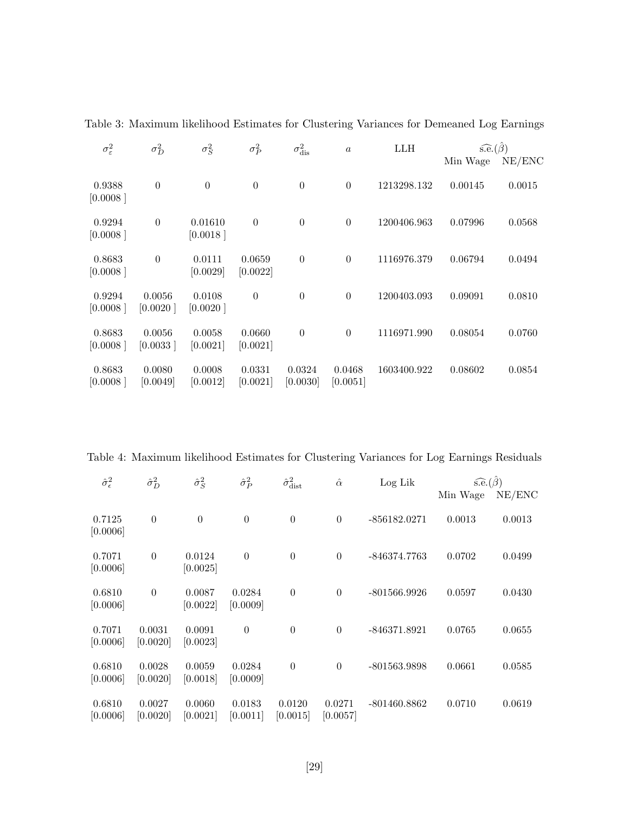| $\sigma_{\varepsilon}^2$ | $\sigma_D^2$       | $\sigma_S^2$        | $\sigma_P^2$       | $\sigma^2_{\rm dis}$ | $\alpha$           | <b>LLH</b>  | $s.\widehat{e}.(\widehat{\beta})$ |        |
|--------------------------|--------------------|---------------------|--------------------|----------------------|--------------------|-------------|-----------------------------------|--------|
|                          |                    |                     |                    |                      |                    |             | Min Wage                          | NE/ENC |
| 0.9388<br>[0.0008]       | $\boldsymbol{0}$   | $\Omega$            | $\boldsymbol{0}$   | $\overline{0}$       | $\Omega$           | 1213298.132 | 0.00145                           | 0.0015 |
| 0.9294<br>[0.0008]       | $\overline{0}$     | 0.01610<br>[0.0018] | $\overline{0}$     | $\theta$             | $\Omega$           | 1200406.963 | 0.07996                           | 0.0568 |
| 0.8683<br>[0.0008]       | $\overline{0}$     | 0.0111<br>[0.0029]  | 0.0659<br>[0.0022] | $\theta$             | $\Omega$           | 1116976.379 | 0.06794                           | 0.0494 |
| 0.9294<br>[0.0008]       | 0.0056<br>[0.0020] | 0.0108<br>[0.0020]  | $\theta$           | $\theta$             | $\Omega$           | 1200403.093 | 0.09091                           | 0.0810 |
| 0.8683<br>[0.0008]       | 0.0056<br>[0.0033] | 0.0058<br>[0.0021]  | 0.0660<br>[0.0021] | $\theta$             | $\theta$           | 1116971.990 | 0.08054                           | 0.0760 |
| 0.8683<br>[0.0008]       | 0.0080<br>[0.0049] | 0.0008<br>[0.0012]  | 0.0331<br>[0.0021] | 0.0324<br>[0.0030]   | 0.0468<br>[0.0051] | 1603400.922 | 0.08602                           | 0.0854 |

Table 3: Maximum likelihood Estimates for Clustering Variances for Demeaned Log Earnings

Table 4: Maximum likelihood Estimates for Clustering Variances for Log Earnings Residuals

| $\hat{\sigma}_{\epsilon}^2$<br>$\hat{\sigma}_{D}^{2}$ |                    | $\hat{\sigma}_S^2$              | $\hat{\sigma}_P^2$ | $\hat{\sigma}_{\rm dist}^2$ | $\hat{\alpha}$     | Log Lik        | $s.e.(\hat{\beta})$ |        |
|-------------------------------------------------------|--------------------|---------------------------------|--------------------|-----------------------------|--------------------|----------------|---------------------|--------|
|                                                       |                    |                                 |                    |                             |                    |                | Min Wage            | NE/ENC |
| 0.7125<br>[0.0006]                                    | $\boldsymbol{0}$   | $\overline{0}$                  | $\boldsymbol{0}$   | $\theta$                    | $\theta$           | $-856182.0271$ | 0.0013              | 0.0013 |
| 0.7071<br>[0.0006]                                    | $\boldsymbol{0}$   | 0.0124<br>[0.0025]              | $\boldsymbol{0}$   | $\theta$                    | $\theta$           | -846374.7763   | 0.0702              | 0.0499 |
| 0.6810<br>[0.0006]                                    | $\theta$           | 0.0087<br>[0.0022]              | 0.0284<br>[0.0009] | $\overline{0}$              | $\overline{0}$     | $-801566.9926$ | 0.0597              | 0.0430 |
| 0.7071<br>[0.0006]                                    | 0.0031<br>[0.0020] | 0.0091<br>[0.0023]              | $\boldsymbol{0}$   | $\theta$                    | $\overline{0}$     | $-846371.8921$ | 0.0765              | 0.0655 |
| 0.6810<br>[0.0006]                                    | 0.0028<br>[0.0020] | 0.0059<br>[0.0018]              | 0.0284<br>[0.0009] | $\theta$                    | $\overline{0}$     | $-801563.9898$ | 0.0661              | 0.0585 |
| 0.6810<br>[0.0006]                                    | 0.0027<br>[0.0020] | 0.0060<br>$\left[0.0021\right]$ | 0.0183<br>[0.0011] | 0.0120<br>[0.0015]          | 0.0271<br>[0.0057] | $-801460.8862$ | 0.0710              | 0.0619 |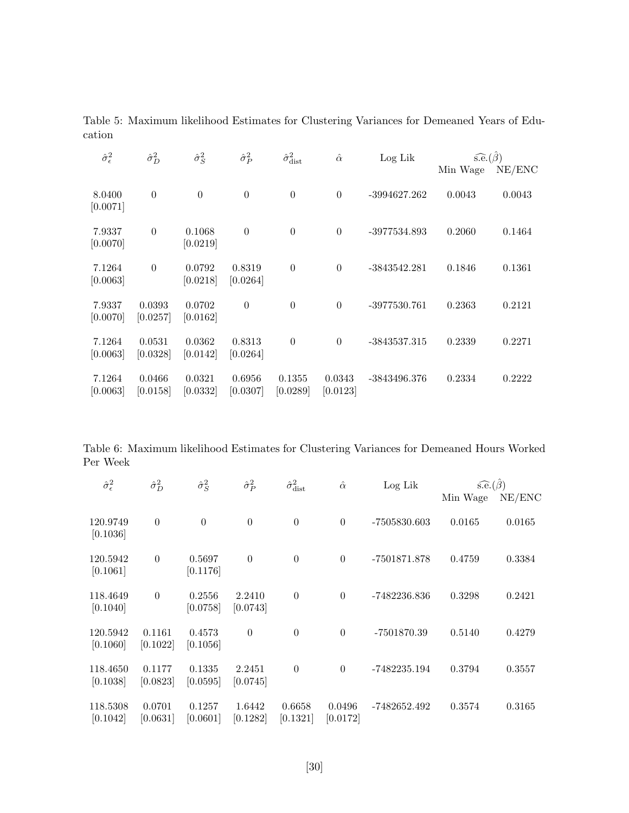Table 5: Maximum likelihood Estimates for Clustering Variances for Demeaned Years of Education

| $\hat{\sigma}_{\epsilon}^2$ | $\hat{\sigma}_{D}^{2}$ | $\hat{\sigma}_S^2$ | $\hat{\sigma}_P^2$               | $\hat{\sigma}^2_{\text{dist}}$ | $\hat{\alpha}$     | Log Lik        | $s.e.(\hat{\beta})$ |        |
|-----------------------------|------------------------|--------------------|----------------------------------|--------------------------------|--------------------|----------------|---------------------|--------|
|                             |                        |                    |                                  |                                |                    |                | Min Wage            | NE/ENC |
| 8.0400<br>[0.0071]          | $\overline{0}$         | $\theta$           | $\theta$                         | $\theta$                       | $\theta$           | $-3994627.262$ | 0.0043              | 0.0043 |
| 7.9337<br>[0.0070]          | $\overline{0}$         | 0.1068<br>[0.0219] | $\overline{0}$                   | $\theta$                       | $\overline{0}$     | -3977534.893   | 0.2060              | 0.1464 |
| 7.1264<br>[0.0063]          | $\theta$               | 0.0792<br>[0.0218] | 0.8319<br>[0.0264]               | $\theta$                       | $\overline{0}$     | $-3843542.281$ | 0.1846              | 0.1361 |
| 7.9337<br>[0.0070]          | 0.0393<br>[0.0257]     | 0.0702<br>[0.0162] | $\boldsymbol{0}$                 | $\theta$                       | $\overline{0}$     | $-3977530.761$ | 0.2363              | 0.2121 |
| 7.1264<br>[0.0063]          | 0.0531<br>[0.0328]     | 0.0362<br>[0.0142] | 0.8313<br>[0.0264]               | $\theta$                       | $\overline{0}$     | $-3843537.315$ | 0.2339              | 0.2271 |
| 7.1264<br>[0.0063]          | 0.0466<br>[0.0158]     | 0.0321<br>[0.0332] | 0.6956<br>$\left[ 0.0307\right]$ | 0.1355<br>[0.0289]             | 0.0343<br>[0.0123] | $-3843496.376$ | 0.2334              | 0.2222 |

Table 6: Maximum likelihood Estimates for Clustering Variances for Demeaned Hours Worked Per Week

| $\hat{\sigma}_{\epsilon}^2$ | $\hat{\sigma}_{D}^{2}$ | $\hat{\sigma}_S^2$ | $\hat{\sigma}_P^2$ | $\hat{\sigma}^2_{\text{dist}}$ | $\hat{\alpha}$     | Log Lik      | $s.\widehat{e}.(\widehat{\beta})$ |        |
|-----------------------------|------------------------|--------------------|--------------------|--------------------------------|--------------------|--------------|-----------------------------------|--------|
|                             |                        |                    |                    |                                |                    |              | Min Wage                          | NE/ENC |
| 120.9749<br>[0.1036]        | $\overline{0}$         | $\overline{0}$     | $\theta$           | $\theta$                       | $\boldsymbol{0}$   | -7505830.603 | 0.0165                            | 0.0165 |
| 120.5942<br>[0.1061]        | $\overline{0}$         | 0.5697<br>[0.1176] | $\overline{0}$     | $\theta$                       | $\theta$           | -7501871.878 | 0.4759                            | 0.3384 |
| 118.4649<br>[0.1040]        | $\theta$               | 0.2556<br>[0.0758] | 2.2410<br>[0.0743] | $\theta$                       | $\theta$           | -7482236.836 | 0.3298                            | 0.2421 |
| 120.5942<br>[0.1060]        | 0.1161<br>[0.1022]     | 0.4573<br>[0.1056] | $\theta$           | $\overline{0}$                 | $\theta$           | -7501870.39  | 0.5140                            | 0.4279 |
| 118.4650<br>[0.1038]        | 0.1177<br>[0.0823]     | 0.1335<br>[0.0595] | 2.2451<br>[0.0745] | $\theta$                       | $\theta$           | -7482235.194 | 0.3794                            | 0.3557 |
| 118.5308<br>[0.1042]        | 0.0701<br>[0.0631]     | 0.1257<br>[0.0601] | 1.6442<br>[0.1282] | 0.6658<br>[0.1321]             | 0.0496<br>[0.0172] | -7482652.492 | 0.3574                            | 0.3165 |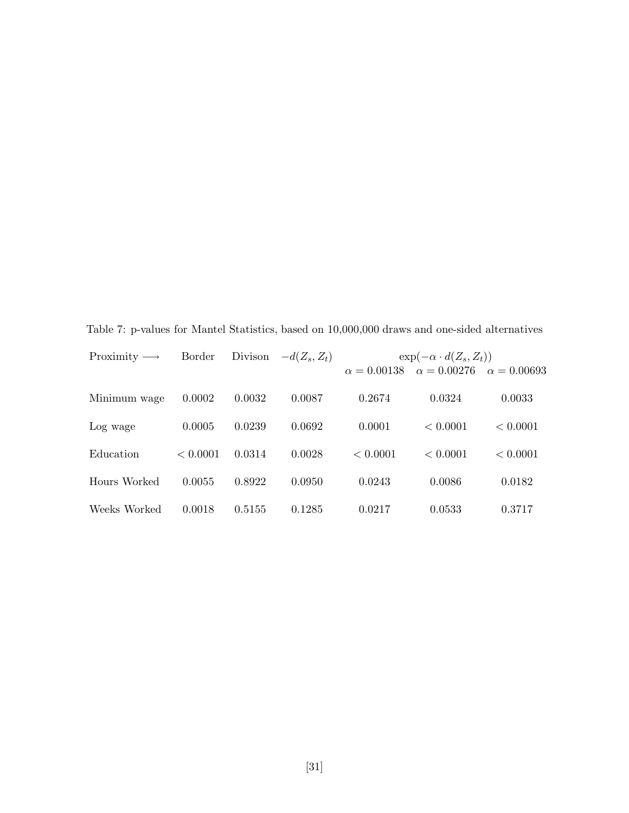| Proximity $\longrightarrow$ | Border   | Divison | $-d(Z_s, Z_t)$ |          | $\exp(-\alpha \cdot d(Z_s, Z_t))$<br>$\alpha = 0.00138 \quad \alpha = 0.00276$ | $\alpha = 0.00693$ |
|-----------------------------|----------|---------|----------------|----------|--------------------------------------------------------------------------------|--------------------|
| Minimum wage                | 0.0002   | 0.0032  | 0.0087         | 0.2674   | 0.0324                                                                         | 0.0033             |
| Log wage                    | 0.0005   | 0.0239  | 0.0692         | 0.0001   | < 0.0001                                                                       | < 0.0001           |
| Education                   | < 0.0001 | 0.0314  | 0.0028         | < 0.0001 | < 0.0001                                                                       | < 0.0001           |
| Hours Worked                | 0.0055   | 0.8922  | 0.0950         | 0.0243   | 0.0086                                                                         | 0.0182             |
| Weeks Worked                | 0.0018   | 0.5155  | 0.1285         | 0.0217   | 0.0533                                                                         | 0.3717             |

Table 7: p-values for Mantel Statistics, based on 10,000,000 draws and one-sided alternatives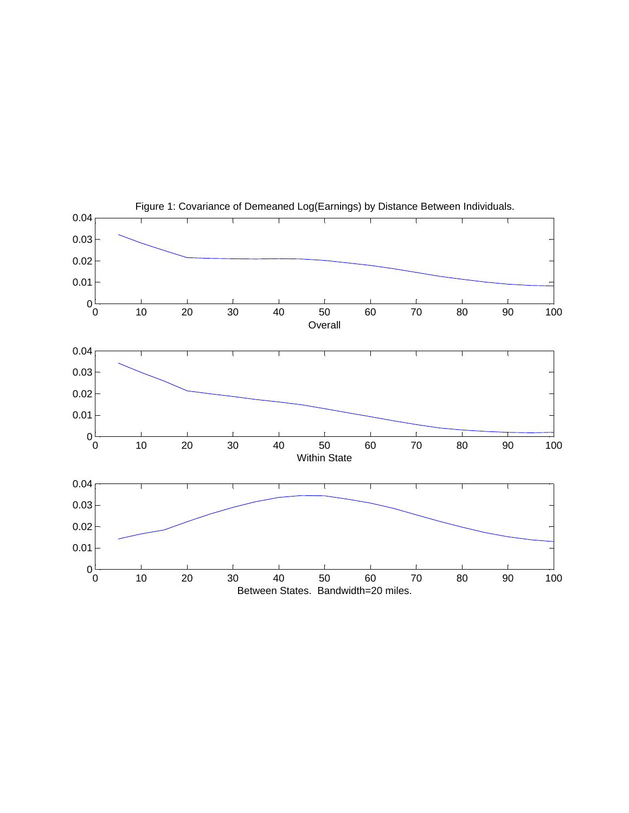